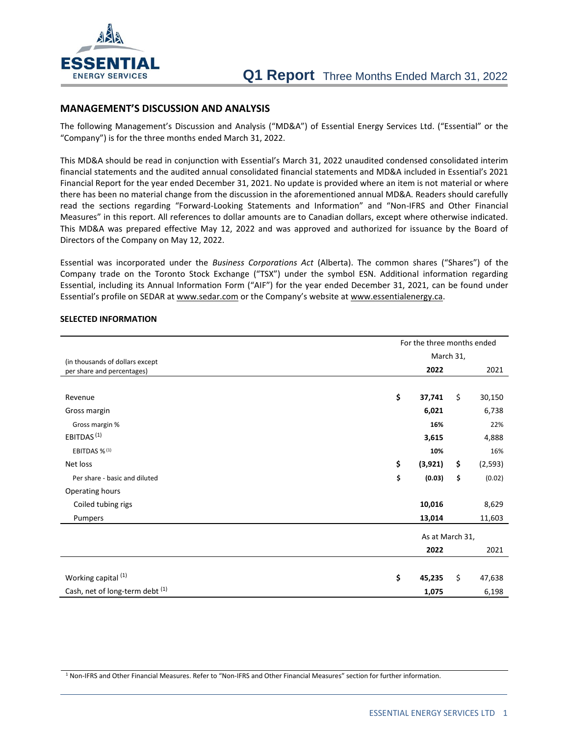

## **MANAGEMENT'S DISCUSSION AND ANALYSIS**

The following Management's Discussion and Analysis ("MD&A") of Essential Energy Services Ltd. ("Essential" or the "Company") is for the three months ended March 31, 2022.

This MD&A should be read in conjunction with Essential's March 31, 2022 unaudited condensed consolidated interim financial statements and the audited annual consolidated financial statements and MD&A included in Essential's 2021 Financial Report for the year ended December 31, 2021. No update is provided where an item is not material or where there has been no material change from the discussion in the aforementioned annual MD&A. Readers should carefully read the sections regarding "Forward-Looking Statements and Information" and "Non-IFRS and Other Financial Measures" in this report. All references to dollar amounts are to Canadian dollars, except where otherwise indicated. This MD&A was prepared effective May 12, 2022 and was approved and authorized for issuance by the Board of Directors of the Company on May 12, 2022.

Essential was incorporated under the *Business Corporations Act* (Alberta). The common shares ("Shares") of the Company trade on the Toronto Stock Exchange ("TSX") under the symbol ESN. Additional information regarding Essential, including its Annual Information Form ("AIF") for the year ended December 31, 2021, can be found under Essential's profile on SEDAR at [www.sedar.com](http://www.sedar.com/) or the Company's website at [www.essentialenergy.ca.](http://www.essentialenergy.ca/)

#### **SELECTED INFORMATION**

|                                 | For the three months ended |    |         |  |
|---------------------------------|----------------------------|----|---------|--|
| (in thousands of dollars except | March 31,                  |    |         |  |
| per share and percentages)      | 2022                       |    | 2021    |  |
|                                 |                            |    |         |  |
| Revenue                         | \$<br>37,741               | \$ | 30,150  |  |
| Gross margin                    | 6,021                      |    | 6,738   |  |
| Gross margin %                  | 16%                        |    | 22%     |  |
| EBITDAS <sup>(1)</sup>          | 3,615                      |    | 4,888   |  |
| EBITDAS % (1)                   | 10%                        |    | 16%     |  |
| Net loss                        | \$<br>(3, 921)             | \$ | (2,593) |  |
| Per share - basic and diluted   | \$<br>(0.03)               | \$ | (0.02)  |  |
| Operating hours                 |                            |    |         |  |
| Coiled tubing rigs              | 10,016                     |    | 8,629   |  |
| Pumpers                         | 13,014                     |    | 11,603  |  |
|                                 | As at March 31,            |    |         |  |
|                                 | 2022                       |    | 2021    |  |
|                                 |                            |    |         |  |
| Working capital <sup>(1)</sup>  | \$<br>45,235               | \$ | 47,638  |  |
| Cash, net of long-term debt (1) | 1,075                      |    | 6,198   |  |

<sup>1</sup> Non-IFRS and Other Financial Measures. Refer to "Non-IFRS and Other Financial Measures" section for further information.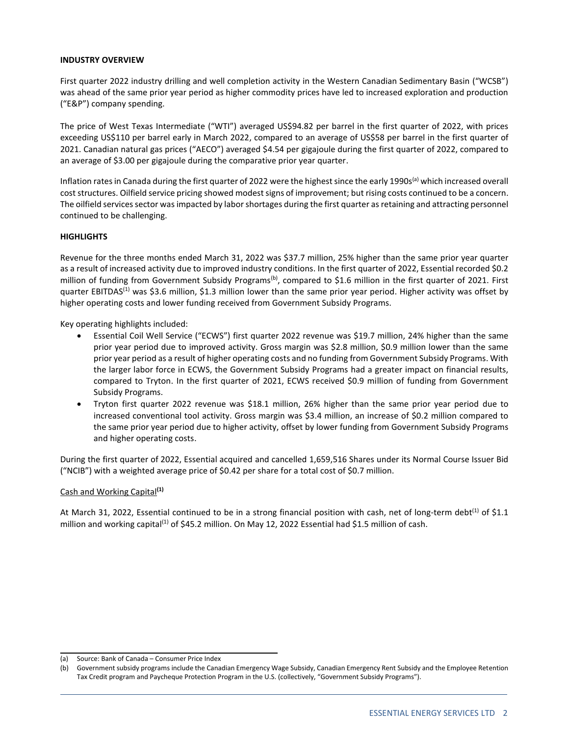#### **INDUSTRY OVERVIEW**

First quarter 2022 industry drilling and well completion activity in the Western Canadian Sedimentary Basin ("WCSB") was ahead of the same prior year period as higher commodity prices have led to increased exploration and production ("E&P") company spending.

The price of West Texas Intermediate ("WTI") averaged US\$94.82 per barrel in the first quarter of 2022, with prices exceeding US\$110 per barrel early in March 2022, compared to an average of US\$58 per barrel in the first quarter of 2021. Canadian natural gas prices ("AECO") averaged \$4.54 per gigajoule during the first quarter of 2022, compared to an average of \$3.00 per gigajoule during the comparative prior year quarter.

Inflation rates in Canada during the first quarter of 2022 were the highest since the early 1990s<sup>(a)</sup> which increased overall cost structures. Oilfield service pricing showed modest signs of improvement; but rising costs continued to be a concern. The oilfield services sector was impacted by labor shortages during the first quarter as retaining and attracting personnel continued to be challenging.

## **HIGHLIGHTS**

Revenue for the three months ended March 31, 2022 was \$37.7 million, 25% higher than the same prior year quarter as a result of increased activity due to improved industry conditions. In the first quarter of 2022, Essential recorded \$0.2 million of funding from Government Subsidy Programs<sup>(b)</sup>, compared to \$1.6 million in the first quarter of 2021. First quarter EBITDAS<sup>(1)</sup> was \$3.6 million, \$1.3 million lower than the same prior year period. Higher activity was offset by higher operating costs and lower funding received from Government Subsidy Programs.

Key operating highlights included:

- Essential Coil Well Service ("ECWS") first quarter 2022 revenue was \$19.7 million, 24% higher than the same prior year period due to improved activity. Gross margin was \$2.8 million, \$0.9 million lower than the same prior year period as a result of higher operating costs and no funding from Government Subsidy Programs. With the larger labor force in ECWS, the Government Subsidy Programs had a greater impact on financial results, compared to Tryton. In the first quarter of 2021, ECWS received \$0.9 million of funding from Government Subsidy Programs.
- Tryton first quarter 2022 revenue was \$18.1 million, 26% higher than the same prior year period due to increased conventional tool activity. Gross margin was \$3.4 million, an increase of \$0.2 million compared to the same prior year period due to higher activity, offset by lower funding from Government Subsidy Programs and higher operating costs.

During the first quarter of 2022, Essential acquired and cancelled 1,659,516 Shares under its Normal Course Issuer Bid ("NCIB") with a weighted average price of \$0.42 per share for a total cost of \$0.7 million.

## Cash and Working Capital**(1)**

At March 31, 2022, Essential continued to be in a strong financial position with cash, net of long-term debt<sup>(1)</sup> of \$1.1 million and working capital<sup>(1)</sup> of \$45.2 million. On May 12, 2022 Essential had \$1.5 million of cash.

 $\overline{\phantom{a}}$  , and the contract of the contract of the contract of the contract of the contract of the contract of the contract of the contract of the contract of the contract of the contract of the contract of the contrac

<sup>(</sup>a) Source: Bank of Canada – Consumer Price Index

<sup>(</sup>b) Government subsidy programs include the Canadian Emergency Wage Subsidy, Canadian Emergency Rent Subsidy and the Employee Retention Tax Credit program and Paycheque Protection Program in the U.S. (collectively, "Government Subsidy Programs").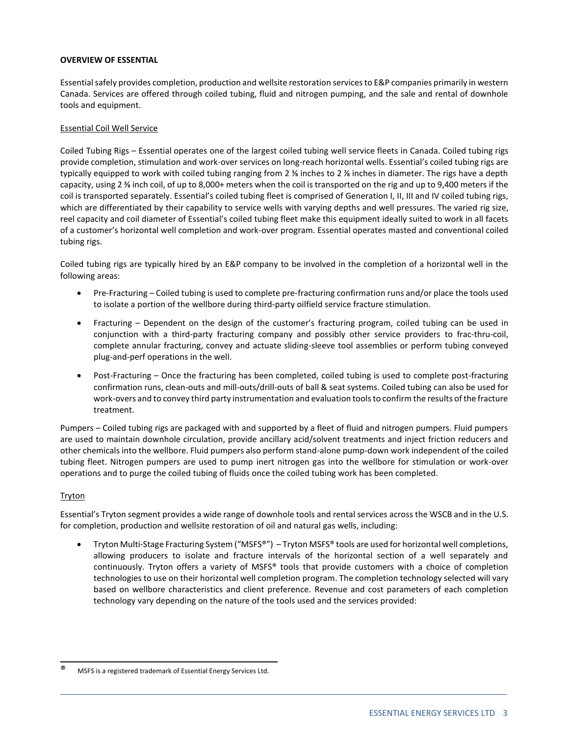## **OVERVIEW OF ESSENTIAL**

Essential safely provides completion, production and wellsite restoration services to E&P companies primarily in western Canada. Services are offered through coiled tubing, fluid and nitrogen pumping, and the sale and rental of downhole tools and equipment.

#### Essential Coil Well Service

Coiled Tubing Rigs – Essential operates one of the largest coiled tubing well service fleets in Canada. Coiled tubing rigs provide completion, stimulation and work-over services on long-reach horizontal wells. Essential's coiled tubing rigs are typically equipped to work with coiled tubing ranging from 2 ⅜ inches to 2 ⅞ inches in diameter. The rigs have a depth capacity, using 2 ⅜ inch coil, of up to 8,000+ meters when the coil is transported on the rig and up to 9,400 meters if the coil is transported separately. Essential's coiled tubing fleet is comprised of Generation I, II, III and IV coiled tubing rigs, which are differentiated by their capability to service wells with varying depths and well pressures. The varied rig size, reel capacity and coil diameter of Essential's coiled tubing fleet make this equipment ideally suited to work in all facets of a customer's horizontal well completion and work-over program. Essential operates masted and conventional coiled tubing rigs.

Coiled tubing rigs are typically hired by an E&P company to be involved in the completion of a horizontal well in the following areas:

- Pre-Fracturing Coiled tubing is used to complete pre-fracturing confirmation runs and/or place the tools used to isolate a portion of the wellbore during third-party oilfield service fracture stimulation.
- Fracturing Dependent on the design of the customer's fracturing program, coiled tubing can be used in conjunction with a third-party fracturing company and possibly other service providers to frac-thru-coil, complete annular fracturing, convey and actuate sliding-sleeve tool assemblies or perform tubing conveyed plug-and-perf operations in the well.
- Post-Fracturing Once the fracturing has been completed, coiled tubing is used to complete post-fracturing confirmation runs, clean-outs and mill-outs/drill-outs of ball & seat systems. Coiled tubing can also be used for work-overs and to convey third party instrumentation and evaluation tools to confirm the results of the fracture treatment.

Pumpers – Coiled tubing rigs are packaged with and supported by a fleet of fluid and nitrogen pumpers. Fluid pumpers are used to maintain downhole circulation, provide ancillary acid/solvent treatments and inject friction reducers and other chemicals into the wellbore. Fluid pumpers also perform stand-alone pump-down work independent of the coiled tubing fleet. Nitrogen pumpers are used to pump inert nitrogen gas into the wellbore for stimulation or work-over operations and to purge the coiled tubing of fluids once the coiled tubing work has been completed.

## **Tryton**

Essential's Tryton segment provides a wide range of downhole tools and rental services across the WSCB and in the U.S. for completion, production and wellsite restoration of oil and natural gas wells, including:

• Tryton Multi-Stage Fracturing System ("MSFS®") – Tryton MSFS® tools are used for horizontal well completions, allowing producers to isolate and fracture intervals of the horizontal section of a well separately and continuously. Tryton offers a variety of MSFS® tools that provide customers with a choice of completion technologies to use on their horizontal well completion program. The completion technology selected will vary based on wellbore characteristics and client preference. Revenue and cost parameters of each completion technology vary depending on the nature of the tools used and the services provided:

\_\_\_\_\_\_\_\_\_\_\_\_\_\_\_\_\_\_\_\_\_\_\_\_\_\_\_\_\_\_\_\_\_\_\_\_\_\_\_\_\_\_\_\_\_\_\_ MSFS is a registered trademark of Essential Energy Services Ltd.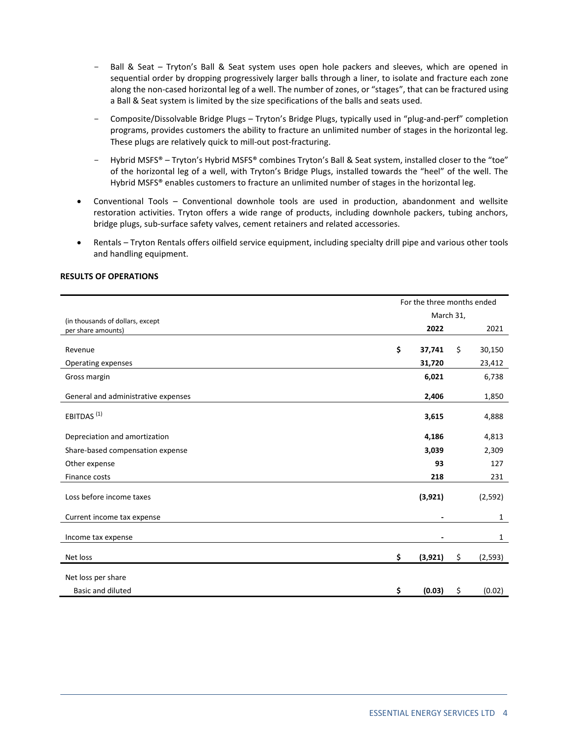- Ball & Seat Tryton's Ball & Seat system uses open hole packers and sleeves, which are opened in sequential order by dropping progressively larger balls through a liner, to isolate and fracture each zone along the non-cased horizontal leg of a well. The number of zones, or "stages", that can be fractured using a Ball & Seat system is limited by the size specifications of the balls and seats used.
- Composite/Dissolvable Bridge Plugs Tryton's Bridge Plugs, typically used in "plug-and-perf" completion programs, provides customers the ability to fracture an unlimited number of stages in the horizontal leg. These plugs are relatively quick to mill-out post-fracturing.
- Hybrid MSFS® Tryton's Hybrid MSFS® combines Tryton's Ball & Seat system, installed closer to the "toe" of the horizontal leg of a well, with Tryton's Bridge Plugs, installed towards the "heel" of the well. The Hybrid MSFS® enables customers to fracture an unlimited number of stages in the horizontal leg.
- Conventional Tools Conventional downhole tools are used in production, abandonment and wellsite restoration activities. Tryton offers a wide range of products, including downhole packers, tubing anchors, bridge plugs, sub-surface safety valves, cement retainers and related accessories.
- Rentals Tryton Rentals offers oilfield service equipment, including specialty drill pipe and various other tools and handling equipment.

|                                     | For the three months ended |           |    |              |
|-------------------------------------|----------------------------|-----------|----|--------------|
| (in thousands of dollars, except    |                            | March 31, |    |              |
| per share amounts)                  |                            | 2022      |    | 2021         |
|                                     |                            |           |    |              |
| Revenue                             | \$                         | 37,741    | \$ | 30,150       |
| Operating expenses                  |                            | 31,720    |    | 23,412       |
| Gross margin                        |                            | 6,021     |    | 6,738        |
| General and administrative expenses |                            | 2,406     |    | 1,850        |
| EBITDAS <sup>(1)</sup>              |                            | 3,615     |    | 4,888        |
|                                     |                            |           |    |              |
| Depreciation and amortization       |                            | 4,186     |    | 4,813        |
| Share-based compensation expense    |                            | 3,039     |    | 2,309        |
| Other expense                       |                            | 93        |    | 127          |
| Finance costs                       |                            | 218       |    | 231          |
| Loss before income taxes            |                            | (3, 921)  |    | (2, 592)     |
| Current income tax expense          |                            |           |    | $\mathbf{1}$ |
| Income tax expense                  |                            |           |    | $\mathbf{1}$ |
| Net loss                            | \$                         | (3, 921)  | \$ | (2, 593)     |
| Net loss per share                  |                            |           |    |              |
| <b>Basic and diluted</b>            | \$                         | (0.03)    | \$ | (0.02)       |

## **RESULTS OF OPERATIONS**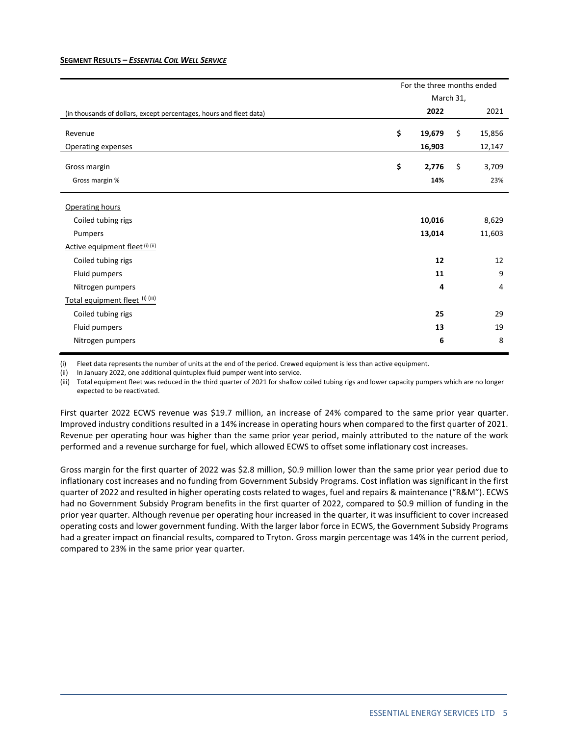#### **SEGMENT RESULTS –** *ESSENTIAL COIL WELL SERVICE*

|                                                                     | For the three months ended |           |    |                |
|---------------------------------------------------------------------|----------------------------|-----------|----|----------------|
|                                                                     |                            | March 31, |    |                |
| (in thousands of dollars, except percentages, hours and fleet data) |                            | 2022      |    | 2021           |
|                                                                     |                            |           |    |                |
| Revenue                                                             | \$                         | 19,679    | \$ | 15,856         |
| Operating expenses                                                  |                            | 16,903    |    | 12,147         |
| Gross margin                                                        | \$                         | 2,776     | \$ | 3,709          |
| Gross margin %                                                      |                            | 14%       |    | 23%            |
| Operating hours                                                     |                            |           |    |                |
| Coiled tubing rigs                                                  |                            | 10,016    |    | 8,629          |
| Pumpers                                                             |                            | 13,014    |    | 11,603         |
| Active equipment fleet (i) (ii)                                     |                            |           |    |                |
| Coiled tubing rigs                                                  |                            | 12        |    | 12             |
| Fluid pumpers                                                       |                            | 11        |    | 9              |
| Nitrogen pumpers                                                    |                            | 4         |    | $\overline{4}$ |
| Total equipment fleet (i) (iii)                                     |                            |           |    |                |
| Coiled tubing rigs                                                  |                            | 25        |    | 29             |
| Fluid pumpers                                                       |                            | 13        |    | 19             |
| Nitrogen pumpers                                                    |                            | 6         |    | 8              |

(i) Fleet data represents the number of units at the end of the period. Crewed equipment is less than active equipment.

(ii) In January 2022, one additional quintuplex fluid pumper went into service.

(iii) Total equipment fleet was reduced in the third quarter of 2021 for shallow coiled tubing rigs and lower capacity pumpers which are no longer expected to be reactivated.

First quarter 2022 ECWS revenue was \$19.7 million, an increase of 24% compared to the same prior year quarter. Improved industry conditions resulted in a 14% increase in operating hours when compared to the first quarter of 2021. Revenue per operating hour was higher than the same prior year period, mainly attributed to the nature of the work performed and a revenue surcharge for fuel, which allowed ECWS to offset some inflationary cost increases.

Gross margin for the first quarter of 2022 was \$2.8 million, \$0.9 million lower than the same prior year period due to inflationary cost increases and no funding from Government Subsidy Programs. Cost inflation was significant in the first quarter of 2022 and resulted in higher operating costs related to wages, fuel and repairs & maintenance ("R&M"). ECWS had no Government Subsidy Program benefits in the first quarter of 2022, compared to \$0.9 million of funding in the prior year quarter. Although revenue per operating hour increased in the quarter, it was insufficient to cover increased operating costs and lower government funding. With the larger labor force in ECWS, the Government Subsidy Programs had a greater impact on financial results, compared to Tryton. Gross margin percentage was 14% in the current period, compared to 23% in the same prior year quarter.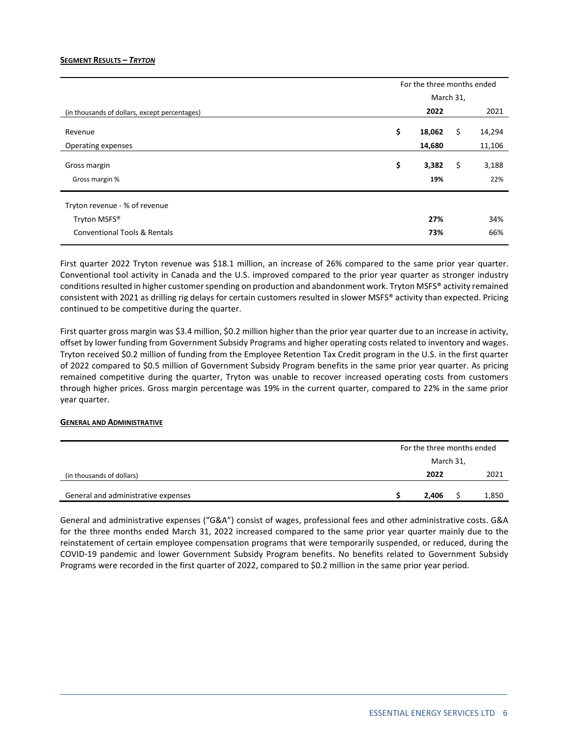#### **SEGMENT RESULTS –** *TRYTON*

|                                               | For the three months ended |              |    |              |
|-----------------------------------------------|----------------------------|--------------|----|--------------|
|                                               | March 31,                  |              |    |              |
| (in thousands of dollars, except percentages) |                            | 2022         |    | 2021         |
| Revenue                                       | \$                         | 18,062       | \$ | 14,294       |
| Operating expenses                            |                            | 14,680       |    | 11,106       |
| Gross margin<br>Gross margin %                | \$                         | 3,382<br>19% | \$ | 3,188<br>22% |
| Tryton revenue - % of revenue                 |                            |              |    |              |
| Tryton MSFS®                                  |                            | 27%          |    | 34%          |
| <b>Conventional Tools &amp; Rentals</b>       |                            | 73%          |    | 66%          |

First quarter 2022 Tryton revenue was \$18.1 million, an increase of 26% compared to the same prior year quarter. Conventional tool activity in Canada and the U.S. improved compared to the prior year quarter as stronger industry conditions resulted in higher customer spending on production and abandonment work. Tryton MSFS® activity remained consistent with 2021 as drilling rig delays for certain customers resulted in slower MSFS® activity than expected. Pricing continued to be competitive during the quarter.

First quarter gross margin was \$3.4 million, \$0.2 million higher than the prior year quarter due to an increase in activity, offset by lower funding from Government Subsidy Programs and higher operating costs related to inventory and wages. Tryton received \$0.2 million of funding from the Employee Retention Tax Credit program in the U.S. in the first quarter of 2022 compared to \$0.5 million of Government Subsidy Program benefits in the same prior year quarter. As pricing remained competitive during the quarter, Tryton was unable to recover increased operating costs from customers through higher prices. Gross margin percentage was 19% in the current quarter, compared to 22% in the same prior year quarter.

#### **GENERAL AND ADMINISTRATIVE**

|                                     |           | For the three months ended |  |       |  |
|-------------------------------------|-----------|----------------------------|--|-------|--|
|                                     | March 31, |                            |  |       |  |
| (in thousands of dollars)           |           | 2022                       |  | 2021  |  |
| General and administrative expenses |           | 2.406                      |  | 1,850 |  |

General and administrative expenses ("G&A") consist of wages, professional fees and other administrative costs. G&A for the three months ended March 31, 2022 increased compared to the same prior year quarter mainly due to the reinstatement of certain employee compensation programs that were temporarily suspended, or reduced, during the COVID-19 pandemic and lower Government Subsidy Program benefits. No benefits related to Government Subsidy Programs were recorded in the first quarter of 2022, compared to \$0.2 million in the same prior year period.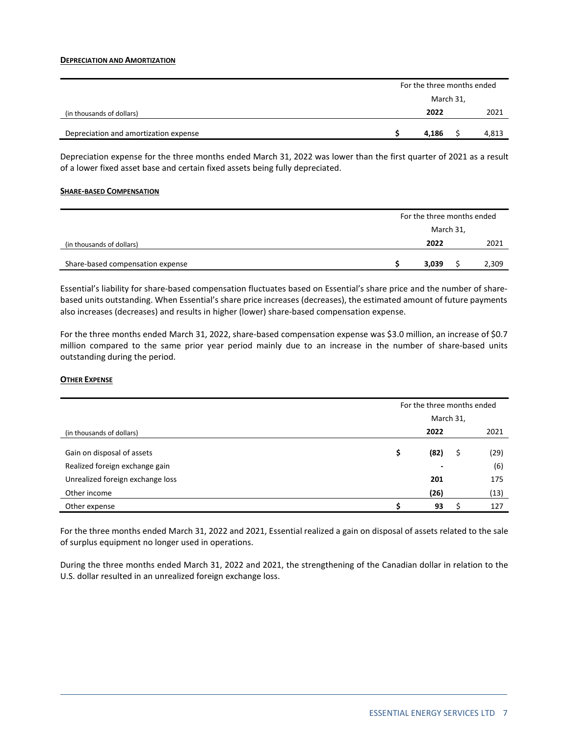#### **DEPRECIATION AND AMORTIZATION**

|                                       | For the three months ended |       |  |       |
|---------------------------------------|----------------------------|-------|--|-------|
|                                       | March 31,                  |       |  |       |
| (in thousands of dollars)             |                            | 2022  |  | 2021  |
| Depreciation and amortization expense |                            | 4,186 |  | 4,813 |

Depreciation expense for the three months ended March 31, 2022 was lower than the first quarter of 2021 as a result of a lower fixed asset base and certain fixed assets being fully depreciated.

#### **SHARE-BASED COMPENSATION**

|                                  |           | For the three months ended |  |       |  |
|----------------------------------|-----------|----------------------------|--|-------|--|
|                                  | March 31, |                            |  |       |  |
| (in thousands of dollars)        |           | 2022                       |  | 2021  |  |
| Share-based compensation expense |           | 3.039                      |  | 2,309 |  |

Essential's liability for share-based compensation fluctuates based on Essential's share price and the number of sharebased units outstanding. When Essential's share price increases (decreases), the estimated amount of future payments also increases (decreases) and results in higher (lower) share-based compensation expense.

For the three months ended March 31, 2022, share-based compensation expense was \$3.0 million, an increase of \$0.7 million compared to the same prior year period mainly due to an increase in the number of share-based units outstanding during the period.

#### **OTHER EXPENSE**

|                                  |           | For the three months ended |   |      |
|----------------------------------|-----------|----------------------------|---|------|
|                                  | March 31, |                            |   |      |
| (in thousands of dollars)        |           | 2022                       |   | 2021 |
|                                  |           |                            |   |      |
| Gain on disposal of assets       | \$        | (82)                       | S | (29) |
| Realized foreign exchange gain   |           |                            |   | (6)  |
| Unrealized foreign exchange loss |           | 201                        |   | 175  |
| Other income                     |           | (26)                       |   | (13) |
| Other expense                    |           | 93                         |   | 127  |

For the three months ended March 31, 2022 and 2021, Essential realized a gain on disposal of assets related to the sale of surplus equipment no longer used in operations.

During the three months ended March 31, 2022 and 2021, the strengthening of the Canadian dollar in relation to the U.S. dollar resulted in an unrealized foreign exchange loss.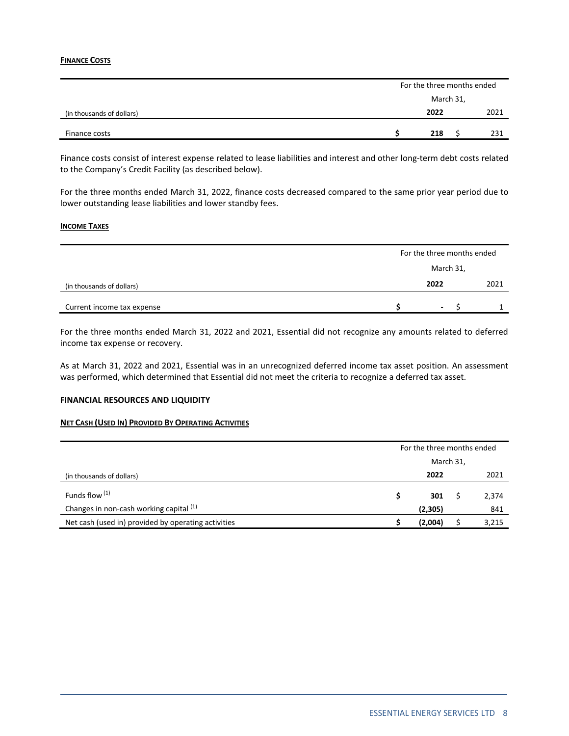#### **FINANCE COSTS**

|                           |      | For the three months ended<br>March 31, |      |  |
|---------------------------|------|-----------------------------------------|------|--|
|                           |      |                                         |      |  |
| (in thousands of dollars) | 2022 |                                         | 2021 |  |
| Finance costs             | 218  |                                         | 231  |  |

Finance costs consist of interest expense related to lease liabilities and interest and other long-term debt costs related to the Company's Credit Facility (as described below).

For the three months ended March 31, 2022, finance costs decreased compared to the same prior year period due to lower outstanding lease liabilities and lower standby fees.

#### **INCOME TAXES**

|                            |      | For the three months ended |      |  |  |
|----------------------------|------|----------------------------|------|--|--|
|                            |      | March 31,                  |      |  |  |
| (in thousands of dollars)  | 2022 |                            | 2021 |  |  |
| Current income tax expense | ٠    |                            |      |  |  |

For the three months ended March 31, 2022 and 2021, Essential did not recognize any amounts related to deferred income tax expense or recovery.

As at March 31, 2022 and 2021, Essential was in an unrecognized deferred income tax asset position. An assessment was performed, which determined that Essential did not meet the criteria to recognize a deferred tax asset.

#### **FINANCIAL RESOURCES AND LIQUIDITY**

#### **NET CASH (USED IN) PROVIDED BY OPERATING ACTIVITIES**

|                                                     |           | For the three months ended |  |       |
|-----------------------------------------------------|-----------|----------------------------|--|-------|
|                                                     | March 31, |                            |  |       |
| (in thousands of dollars)                           |           | 2022                       |  | 2021  |
| Funds flow $(1)$                                    |           | 301                        |  | 2,374 |
| Changes in non-cash working capital (1)             |           | (2,305)                    |  | 841   |
| Net cash (used in) provided by operating activities |           | (2,004)                    |  | 3,215 |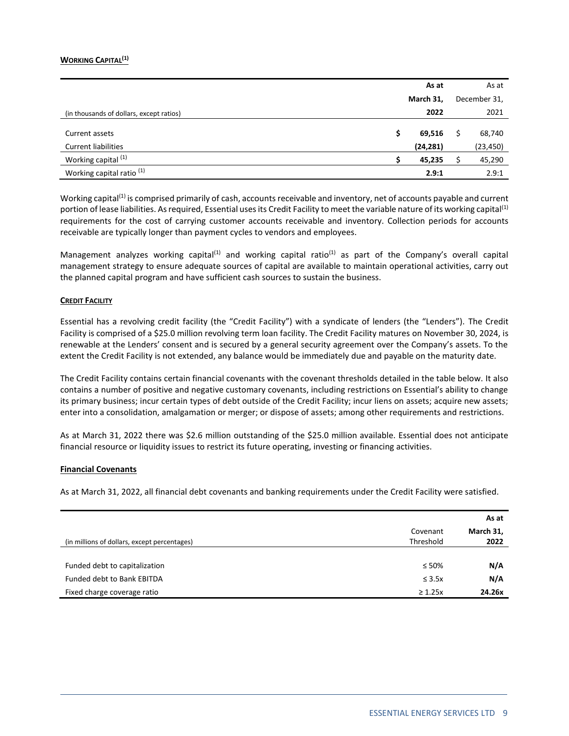### **WORKING CAPITAL(1)**

|                                          |   | As at     | As at        |
|------------------------------------------|---|-----------|--------------|
|                                          |   | March 31, | December 31, |
| (in thousands of dollars, except ratios) |   | 2022      | 2021         |
|                                          |   |           |              |
| Current assets                           | S | 69,516    | \$<br>68,740 |
| <b>Current liabilities</b>               |   | (24, 281) | (23, 450)    |
| Working capital (1)                      |   | 45,235    | 45,290       |
| Working capital ratio <sup>(1)</sup>     |   | 2.9:1     | 2.9:1        |

Working capital<sup>(1)</sup> is comprised primarily of cash, accounts receivable and inventory, net of accounts payable and current portion of lease liabilities. As required, Essential uses its Credit Facility to meet the variable nature of its working capital<sup>(1)</sup> requirements for the cost of carrying customer accounts receivable and inventory. Collection periods for accounts receivable are typically longer than payment cycles to vendors and employees.

Management analyzes working capital<sup>(1)</sup> and working capital ratio<sup>(1)</sup> as part of the Company's overall capital management strategy to ensure adequate sources of capital are available to maintain operational activities, carry out the planned capital program and have sufficient cash sources to sustain the business.

#### **CREDIT FACILITY**

Essential has a revolving credit facility (the "Credit Facility") with a syndicate of lenders (the "Lenders"). The Credit Facility is comprised of a \$25.0 million revolving term loan facility. The Credit Facility matures on November 30, 2024, is renewable at the Lenders' consent and is secured by a general security agreement over the Company's assets. To the extent the Credit Facility is not extended, any balance would be immediately due and payable on the maturity date.

The Credit Facility contains certain financial covenants with the covenant thresholds detailed in the table below. It also contains a number of positive and negative customary covenants, including restrictions on Essential's ability to change its primary business; incur certain types of debt outside of the Credit Facility; incur liens on assets; acquire new assets; enter into a consolidation, amalgamation or merger; or dispose of assets; among other requirements and restrictions.

As at March 31, 2022 there was \$2.6 million outstanding of the \$25.0 million available. Essential does not anticipate financial resource or liquidity issues to restrict its future operating, investing or financing activities.

#### **Financial Covenants**

As at March 31, 2022, all financial debt covenants and banking requirements under the Credit Facility were satisfied.

|                                              |              | As at     |
|----------------------------------------------|--------------|-----------|
|                                              | Covenant     | March 31, |
| (in millions of dollars, except percentages) | Threshold    | 2022      |
|                                              |              |           |
| Funded debt to capitalization                | $\leq 50\%$  | N/A       |
| <b>Funded debt to Bank EBITDA</b>            | $\leq$ 3.5x  | N/A       |
| Fixed charge coverage ratio                  | $\geq 1.25x$ | 24.26x    |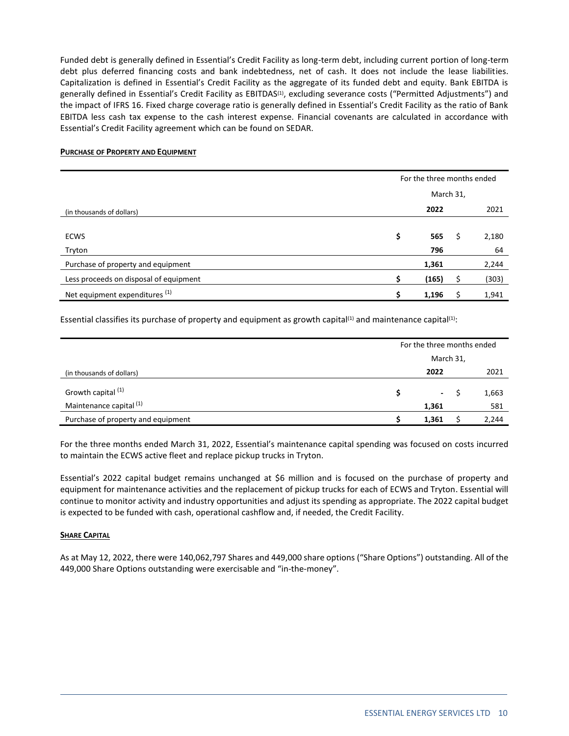Funded debt is generally defined in Essential's Credit Facility as long-term debt, including current portion of long-term debt plus deferred financing costs and bank indebtedness, net of cash. It does not include the lease liabilities. Capitalization is defined in Essential's Credit Facility as the aggregate of its funded debt and equity. Bank EBITDA is generally defined in Essential's Credit Facility as EBITDAS<sup>(1)</sup>, excluding severance costs ("Permitted Adjustments") and the impact of IFRS 16. Fixed charge coverage ratio is generally defined in Essential's Credit Facility as the ratio of Bank EBITDA less cash tax expense to the cash interest expense. Financial covenants are calculated in accordance with Essential's Credit Facility agreement which can be found on SEDAR.

### **PURCHASE OF PROPERTY AND EQUIPMENT**

|                                           | For the three months ended |           |    |       |
|-------------------------------------------|----------------------------|-----------|----|-------|
|                                           |                            | March 31, |    |       |
| (in thousands of dollars)                 |                            | 2022      |    | 2021  |
|                                           |                            |           |    |       |
| <b>ECWS</b>                               | \$                         | 565       | \$ | 2,180 |
| Tryton                                    |                            | 796       |    | 64    |
| Purchase of property and equipment        |                            | 1,361     |    | 2,244 |
| Less proceeds on disposal of equipment    | Ŝ.                         | (165)     | S  | (303) |
| Net equipment expenditures <sup>(1)</sup> | \$                         | 1,196     |    | 1,941 |

Essential classifies its purchase of property and equipment as growth capital<sup>(1)</sup> and maintenance capital<sup>(1)</sup>:

|                                    | For the three months ended |  |       |  |
|------------------------------------|----------------------------|--|-------|--|
|                                    | March 31,                  |  |       |  |
| (in thousands of dollars)          | 2022                       |  | 2021  |  |
| Growth capital (1)                 | $\sim$                     |  | 1,663 |  |
| Maintenance capital <sup>(1)</sup> | 1,361                      |  | 581   |  |
| Purchase of property and equipment | 1,361                      |  | 2,244 |  |

For the three months ended March 31, 2022, Essential's maintenance capital spending was focused on costs incurred to maintain the ECWS active fleet and replace pickup trucks in Tryton.

Essential's 2022 capital budget remains unchanged at \$6 million and is focused on the purchase of property and equipment for maintenance activities and the replacement of pickup trucks for each of ECWS and Tryton. Essential will continue to monitor activity and industry opportunities and adjust its spending as appropriate. The 2022 capital budget is expected to be funded with cash, operational cashflow and, if needed, the Credit Facility.

#### **SHARE CAPITAL**

As at May 12, 2022, there were 140,062,797 Shares and 449,000 share options ("Share Options") outstanding. All of the 449,000 Share Options outstanding were exercisable and "in-the-money".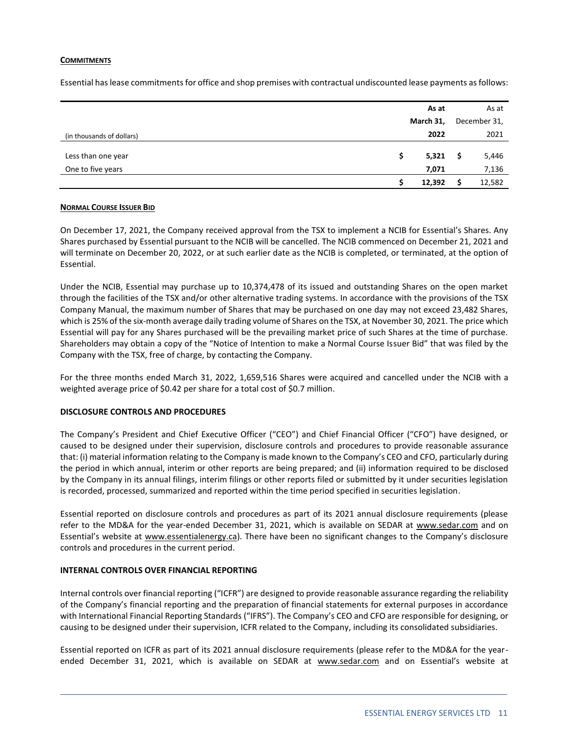#### **COMMITMENTS**

Essential has lease commitments for office and shop premises with contractual undiscounted lease payments as follows:

|                           | As at     |    | As at        |
|---------------------------|-----------|----|--------------|
|                           | March 31, |    | December 31, |
| (in thousands of dollars) | 2022      |    | 2021         |
| Less than one year        | 5,321     | -S | 5,446        |
| One to five years         | 7,071     |    | 7,136        |
|                           | 12,392    |    | 12,582       |

#### **NORMAL COURSE ISSUER BID**

On December 17, 2021, the Company received approval from the TSX to implement a NCIB for Essential's Shares. Any Shares purchased by Essential pursuant to the NCIB will be cancelled. The NCIB commenced on December 21, 2021 and will terminate on December 20, 2022, or at such earlier date as the NCIB is completed, or terminated, at the option of Essential.

Under the NCIB, Essential may purchase up to 10,374,478 of its issued and outstanding Shares on the open market through the facilities of the TSX and/or other alternative trading systems. In accordance with the provisions of the TSX Company Manual, the maximum number of Shares that may be purchased on one day may not exceed 23,482 Shares, which is 25% of the six-month average daily trading volume of Shares on the TSX, at November 30, 2021. The price which Essential will pay for any Shares purchased will be the prevailing market price of such Shares at the time of purchase. Shareholders may obtain a copy of the "Notice of Intention to make a Normal Course Issuer Bid" that was filed by the Company with the TSX, free of charge, by contacting the Company.

For the three months ended March 31, 2022, 1,659,516 Shares were acquired and cancelled under the NCIB with a weighted average price of \$0.42 per share for a total cost of \$0.7 million.

#### **DISCLOSURE CONTROLS AND PROCEDURES**

The Company's President and Chief Executive Officer ("CEO") and Chief Financial Officer ("CFO") have designed, or caused to be designed under their supervision, disclosure controls and procedures to provide reasonable assurance that: (i) material information relating to the Company is made known to the Company's CEO and CFO, particularly during the period in which annual, interim or other reports are being prepared; and (ii) information required to be disclosed by the Company in its annual filings, interim filings or other reports filed or submitted by it under securities legislation is recorded, processed, summarized and reported within the time period specified in securities legislation.

Essential reported on disclosure controls and procedures as part of its 2021 annual disclosure requirements (please refer to the MD&A for the year-ended December 31, 2021, which is available on SEDAR at www.sedar.com and on Essential's website at www.essentialenergy.ca). There have been no significant changes to the Company's disclosure controls and procedures in the current period.

#### **INTERNAL CONTROLS OVER FINANCIAL REPORTING**

Internal controls over financial reporting ("ICFR") are designed to provide reasonable assurance regarding the reliability of the Company's financial reporting and the preparation of financial statements for external purposes in accordance with International Financial Reporting Standards ("IFRS"). The Company's CEO and CFO are responsible for designing, or causing to be designed under their supervision, ICFR related to the Company, including its consolidated subsidiaries.

Essential reported on ICFR as part of its 2021 annual disclosure requirements (please refer to the MD&A for the yearended December 31, 2021, which is available on SEDAR at www.sedar.com and on Essential's website at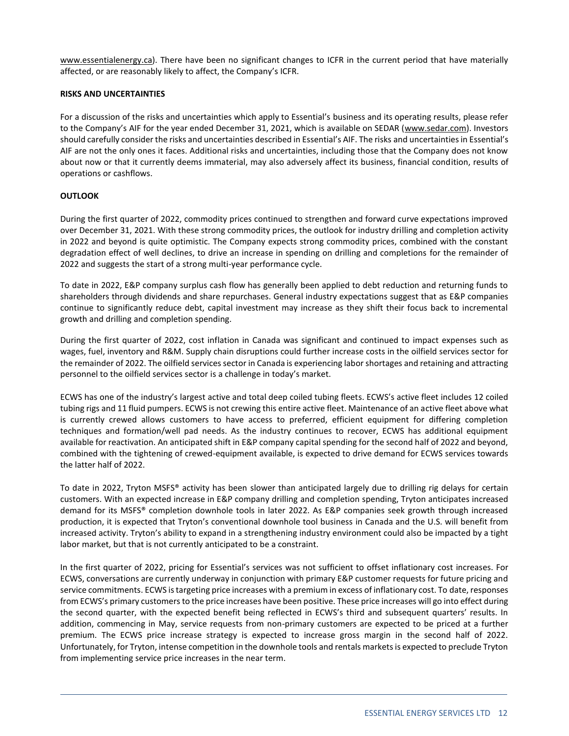www.essentialenergy.ca). There have been no significant changes to ICFR in the current period that have materially affected, or are reasonably likely to affect, the Company's ICFR.

#### **RISKS AND UNCERTAINTIES**

For a discussion of the risks and uncertainties which apply to Essential's business and its operating results, please refer to the Company's AIF for the year ended December 31, 2021, which is available on SEDAR (www.sedar.com). Investors should carefully consider the risks and uncertainties described in Essential's AIF. The risks and uncertainties in Essential's AIF are not the only ones it faces. Additional risks and uncertainties, including those that the Company does not know about now or that it currently deems immaterial, may also adversely affect its business, financial condition, results of operations or cashflows.

## **OUTLOOK**

During the first quarter of 2022, commodity prices continued to strengthen and forward curve expectations improved over December 31, 2021. With these strong commodity prices, the outlook for industry drilling and completion activity in 2022 and beyond is quite optimistic. The Company expects strong commodity prices, combined with the constant degradation effect of well declines, to drive an increase in spending on drilling and completions for the remainder of 2022 and suggests the start of a strong multi-year performance cycle.

To date in 2022, E&P company surplus cash flow has generally been applied to debt reduction and returning funds to shareholders through dividends and share repurchases. General industry expectations suggest that as E&P companies continue to significantly reduce debt, capital investment may increase as they shift their focus back to incremental growth and drilling and completion spending.

During the first quarter of 2022, cost inflation in Canada was significant and continued to impact expenses such as wages, fuel, inventory and R&M. Supply chain disruptions could further increase costs in the oilfield services sector for the remainder of 2022. The oilfield services sector in Canada is experiencing labor shortages and retaining and attracting personnel to the oilfield services sector is a challenge in today's market.

ECWS has one of the industry's largest active and total deep coiled tubing fleets. ECWS's active fleet includes 12 coiled tubing rigs and 11 fluid pumpers. ECWS is not crewing this entire active fleet. Maintenance of an active fleet above what is currently crewed allows customers to have access to preferred, efficient equipment for differing completion techniques and formation/well pad needs. As the industry continues to recover, ECWS has additional equipment available for reactivation. An anticipated shift in E&P company capital spending for the second half of 2022 and beyond, combined with the tightening of crewed-equipment available, is expected to drive demand for ECWS services towards the latter half of 2022.

To date in 2022, Tryton MSFS® activity has been slower than anticipated largely due to drilling rig delays for certain customers. With an expected increase in E&P company drilling and completion spending, Tryton anticipates increased demand for its MSFS® completion downhole tools in later 2022. As E&P companies seek growth through increased production, it is expected that Tryton's conventional downhole tool business in Canada and the U.S. will benefit from increased activity. Tryton's ability to expand in a strengthening industry environment could also be impacted by a tight labor market, but that is not currently anticipated to be a constraint.

In the first quarter of 2022, pricing for Essential's services was not sufficient to offset inflationary cost increases. For ECWS, conversations are currently underway in conjunction with primary E&P customer requests for future pricing and service commitments. ECWS is targeting price increases with a premium in excess of inflationary cost. To date, responses from ECWS's primary customers to the price increases have been positive. These price increases will go into effect during the second quarter, with the expected benefit being reflected in ECWS's third and subsequent quarters' results. In addition, commencing in May, service requests from non-primary customers are expected to be priced at a further premium. The ECWS price increase strategy is expected to increase gross margin in the second half of 2022. Unfortunately, for Tryton, intense competition in the downhole tools and rentals markets is expected to preclude Tryton from implementing service price increases in the near term.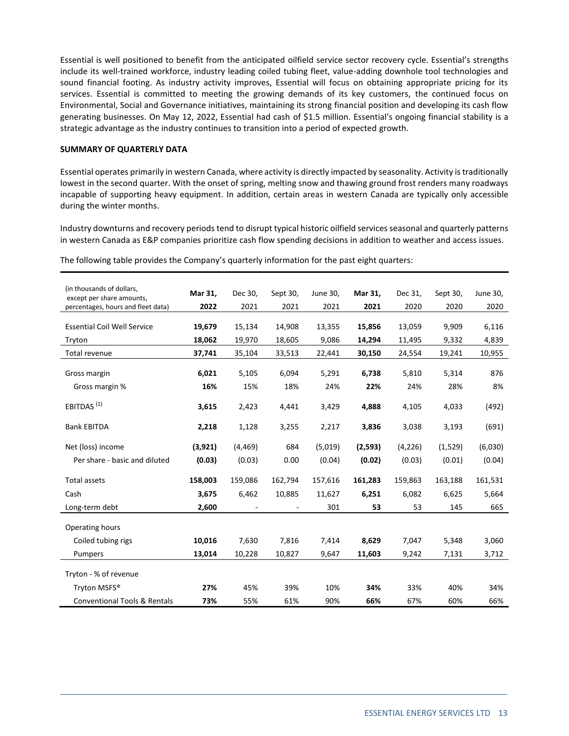Essential is well positioned to benefit from the anticipated oilfield service sector recovery cycle. Essential's strengths include its well-trained workforce, industry leading coiled tubing fleet, value-adding downhole tool technologies and sound financial footing. As industry activity improves, Essential will focus on obtaining appropriate pricing for its services. Essential is committed to meeting the growing demands of its key customers, the continued focus on Environmental, Social and Governance initiatives, maintaining its strong financial position and developing its cash flow generating businesses. On May 12, 2022, Essential had cash of \$1.5 million. Essential's ongoing financial stability is a strategic advantage as the industry continues to transition into a period of expected growth.

#### **SUMMARY OF QUARTERLY DATA**

Essential operates primarily in western Canada, where activity is directly impacted by seasonality. Activity is traditionally lowest in the second quarter. With the onset of spring, melting snow and thawing ground frost renders many roadways incapable of supporting heavy equipment. In addition, certain areas in western Canada are typically only accessible during the winter months.

Industry downturns and recovery periods tend to disrupt typical historic oilfield services seasonal and quarterly patterns in western Canada as E&P companies prioritize cash flow spending decisions in addition to weather and access issues.

The following table provides the Company's quarterly information for the past eight quarters:

| (in thousands of dollars,<br>except per share amounts,<br>percentages, hours and fleet data) | Mar 31,<br>2022 | Dec 30,<br>2021 | Sept 30,<br>2021 | June 30,<br>2021 | Mar 31,<br>2021 | Dec 31,<br>2020 | Sept 30,<br>2020 | June 30,<br>2020 |
|----------------------------------------------------------------------------------------------|-----------------|-----------------|------------------|------------------|-----------------|-----------------|------------------|------------------|
| <b>Essential Coil Well Service</b>                                                           | 19,679          | 15,134          | 14,908           | 13,355           | 15,856          | 13,059          | 9,909            | 6,116            |
| Tryton                                                                                       | 18,062          | 19,970          | 18,605           | 9,086            | 14,294          | 11,495          | 9,332            | 4,839            |
| Total revenue                                                                                | 37,741          | 35,104          | 33,513           | 22,441           | 30,150          | 24,554          | 19,241           | 10,955           |
| Gross margin<br>Gross margin %                                                               | 6,021<br>16%    | 5,105<br>15%    | 6,094<br>18%     | 5,291<br>24%     | 6,738<br>22%    | 5,810<br>24%    | 5,314<br>28%     | 876<br>8%        |
| EBITDAS <sup>(1)</sup>                                                                       | 3,615           | 2,423           | 4,441            | 3,429            | 4,888           | 4,105           | 4,033            | (492)            |
| <b>Bank EBITDA</b>                                                                           | 2,218           | 1,128           | 3,255            | 2,217            | 3,836           | 3,038           | 3,193            | (691)            |
| Net (loss) income                                                                            | (3,921)         | (4, 469)        | 684              | (5,019)          | (2,593)         | (4,226)         | (1,529)          | (6,030)          |
| Per share - basic and diluted                                                                | (0.03)          | (0.03)          | 0.00             | (0.04)           | (0.02)          | (0.03)          | (0.01)           | (0.04)           |
| <b>Total assets</b>                                                                          | 158,003         | 159,086         | 162,794          | 157,616          | 161,283         | 159,863         | 163,188          | 161,531          |
| Cash                                                                                         | 3,675           | 6,462           | 10,885           | 11,627           | 6,251           | 6,082           | 6,625            | 5,664            |
| Long-term debt                                                                               | 2,600           |                 |                  | 301              | 53              | 53              | 145              | 665              |
| Operating hours                                                                              |                 |                 |                  |                  |                 |                 |                  |                  |
| Coiled tubing rigs                                                                           | 10,016          | 7,630           | 7,816            | 7,414            | 8,629           | 7,047           | 5,348            | 3,060            |
| Pumpers                                                                                      | 13,014          | 10,228          | 10,827           | 9,647            | 11,603          | 9,242           | 7,131            | 3,712            |
| Tryton - % of revenue                                                                        |                 |                 |                  |                  |                 |                 |                  |                  |
| Tryton MSFS®                                                                                 | 27%             | 45%             | 39%              | 10%              | 34%             | 33%             | 40%              | 34%              |
| <b>Conventional Tools &amp; Rentals</b>                                                      | 73%             | 55%             | 61%              | 90%              | 66%             | 67%             | 60%              | 66%              |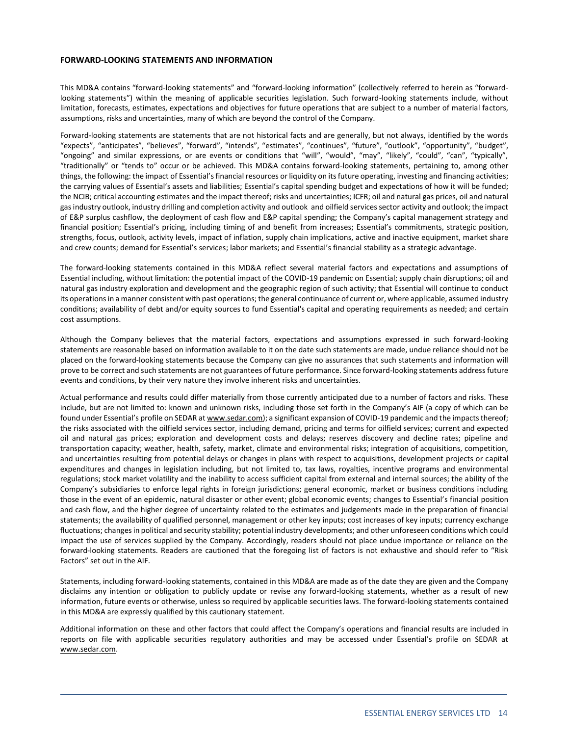#### **FORWARD-LOOKING STATEMENTS AND INFORMATION**

This MD&A contains "forward-looking statements" and "forward-looking information" (collectively referred to herein as "forwardlooking statements") within the meaning of applicable securities legislation. Such forward-looking statements include, without limitation, forecasts, estimates, expectations and objectives for future operations that are subject to a number of material factors, assumptions, risks and uncertainties, many of which are beyond the control of the Company.

Forward-looking statements are statements that are not historical facts and are generally, but not always, identified by the words "expects", "anticipates", "believes", "forward", "intends", "estimates", "continues", "future", "outlook", "opportunity", "budget", "ongoing" and similar expressions, or are events or conditions that "will", "would", "may", "likely", "could", "can", "typically", "traditionally" or "tends to" occur or be achieved. This MD&A contains forward-looking statements, pertaining to, among other things, the following: the impact of Essential's financial resources or liquidity on its future operating, investing and financing activities; the carrying values of Essential's assets and liabilities; Essential's capital spending budget and expectations of how it will be funded; the NCIB; critical accounting estimates and the impact thereof; risks and uncertainties; ICFR; oil and natural gas prices, oil and natural gas industry outlook, industry drilling and completion activity and outlook and oilfield services sector activity and outlook; the impact of E&P surplus cashflow, the deployment of cash flow and E&P capital spending; the Company's capital management strategy and financial position; Essential's pricing, including timing of and benefit from increases; Essential's commitments, strategic position, strengths, focus, outlook, activity levels, impact of inflation, supply chain implications, active and inactive equipment, market share and crew counts; demand for Essential's services; labor markets; and Essential's financial stability as a strategic advantage.

The forward-looking statements contained in this MD&A reflect several material factors and expectations and assumptions of Essential including, without limitation: the potential impact of the COVID-19 pandemic on Essential; supply chain disruptions; oil and natural gas industry exploration and development and the geographic region of such activity; that Essential will continue to conduct its operations in a manner consistent with past operations; the general continuance of current or, where applicable, assumed industry conditions; availability of debt and/or equity sources to fund Essential's capital and operating requirements as needed; and certain cost assumptions.

Although the Company believes that the material factors, expectations and assumptions expressed in such forward-looking statements are reasonable based on information available to it on the date such statements are made, undue reliance should not be placed on the forward-looking statements because the Company can give no assurances that such statements and information will prove to be correct and such statements are not guarantees of future performance. Since forward-looking statements address future events and conditions, by their very nature they involve inherent risks and uncertainties.

Actual performance and results could differ materially from those currently anticipated due to a number of factors and risks. These include, but are not limited to: known and unknown risks, including those set forth in the Company's AIF (a copy of which can be found under Essential's profile on SEDAR at [www.sedar.com\)](http://www.sedar.com/); a significant expansion of COVID-19 pandemic and the impacts thereof; the risks associated with the oilfield services sector, including demand, pricing and terms for oilfield services; current and expected oil and natural gas prices; exploration and development costs and delays; reserves discovery and decline rates; pipeline and transportation capacity; weather, health, safety, market, climate and environmental risks; integration of acquisitions, competition, and uncertainties resulting from potential delays or changes in plans with respect to acquisitions, development projects or capital expenditures and changes in legislation including, but not limited to, tax laws, royalties, incentive programs and environmental regulations; stock market volatility and the inability to access sufficient capital from external and internal sources; the ability of the Company's subsidiaries to enforce legal rights in foreign jurisdictions; general economic, market or business conditions including those in the event of an epidemic, natural disaster or other event; global economic events; changes to Essential's financial position and cash flow, and the higher degree of uncertainty related to the estimates and judgements made in the preparation of financial statements; the availability of qualified personnel, management or other key inputs; cost increases of key inputs; currency exchange fluctuations; changes in political and security stability; potential industry developments; and other unforeseen conditions which could impact the use of services supplied by the Company. Accordingly, readers should not place undue importance or reliance on the forward-looking statements. Readers are cautioned that the foregoing list of factors is not exhaustive and should refer to "Risk Factors" set out in the AIF.

Statements, including forward-looking statements, contained in this MD&A are made as of the date they are given and the Company disclaims any intention or obligation to publicly update or revise any forward-looking statements, whether as a result of new information, future events or otherwise, unless so required by applicable securities laws. The forward-looking statements contained in this MD&A are expressly qualified by this cautionary statement.

Additional information on these and other factors that could affect the Company's operations and financial results are included in reports on file with applicable securities regulatory authorities and may be accessed under Essential's profile on SEDAR at [www.sedar.com.](http://www.sedar.com/)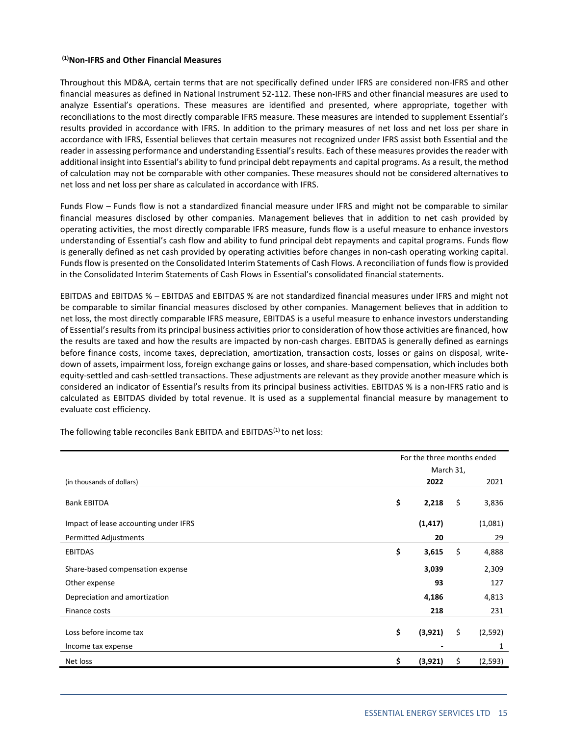#### **(1)Non-IFRS and Other Financial Measures**

Throughout this MD&A, certain terms that are not specifically defined under IFRS are considered non-IFRS and other financial measures as defined in National Instrument 52-112. These non-IFRS and other financial measures are used to analyze Essential's operations. These measures are identified and presented, where appropriate, together with reconciliations to the most directly comparable IFRS measure. These measures are intended to supplement Essential's results provided in accordance with IFRS. In addition to the primary measures of net loss and net loss per share in accordance with IFRS, Essential believes that certain measures not recognized under IFRS assist both Essential and the reader in assessing performance and understanding Essential's results. Each of these measures provides the reader with additional insight into Essential's ability to fund principal debt repayments and capital programs. As a result, the method of calculation may not be comparable with other companies. These measures should not be considered alternatives to net loss and net loss per share as calculated in accordance with IFRS.

Funds Flow – Funds flow is not a standardized financial measure under IFRS and might not be comparable to similar financial measures disclosed by other companies. Management believes that in addition to net cash provided by operating activities, the most directly comparable IFRS measure, funds flow is a useful measure to enhance investors understanding of Essential's cash flow and ability to fund principal debt repayments and capital programs. Funds flow is generally defined as net cash provided by operating activities before changes in non-cash operating working capital. Funds flow is presented on the Consolidated Interim Statements of Cash Flows. A reconciliation of funds flow is provided in the Consolidated Interim Statements of Cash Flows in Essential's consolidated financial statements.

EBITDAS and EBITDAS % – EBITDAS and EBITDAS % are not standardized financial measures under IFRS and might not be comparable to similar financial measures disclosed by other companies. Management believes that in addition to net loss, the most directly comparable IFRS measure, EBITDAS is a useful measure to enhance investors understanding of Essential's results from its principal business activities prior to consideration of how those activities are financed, how the results are taxed and how the results are impacted by non-cash charges. EBITDAS is generally defined as earnings before finance costs, income taxes, depreciation, amortization, transaction costs, losses or gains on disposal, writedown of assets, impairment loss, foreign exchange gains or losses, and share-based compensation, which includes both equity-settled and cash-settled transactions. These adjustments are relevant as they provide another measure which is considered an indicator of Essential's results from its principal business activities. EBITDAS % is a non-IFRS ratio and is calculated as EBITDAS divided by total revenue. It is used as a supplemental financial measure by management to evaluate cost efficiency.

|                                       | For the three months ended |          |    |         |
|---------------------------------------|----------------------------|----------|----|---------|
|                                       | March 31,                  |          |    |         |
| (in thousands of dollars)             |                            | 2022     |    | 2021    |
| <b>Bank EBITDA</b>                    | \$                         | 2,218    | \$ | 3,836   |
| Impact of lease accounting under IFRS |                            | (1, 417) |    | (1,081) |
| <b>Permitted Adjustments</b>          |                            | 20       |    | 29      |
| <b>EBITDAS</b>                        | \$                         | 3,615    | \$ | 4,888   |
| Share-based compensation expense      |                            | 3,039    |    | 2,309   |
| Other expense                         |                            | 93       |    | 127     |
| Depreciation and amortization         |                            | 4,186    |    | 4,813   |
| Finance costs                         |                            | 218      |    | 231     |
|                                       |                            |          |    |         |
| Loss before income tax                | \$                         | (3, 921) | \$ | (2,592) |
| Income tax expense                    |                            |          |    | 1       |
| Net loss                              | \$                         | (3,921)  | \$ | (2,593) |

The following table reconciles Bank EBITDA and  $EBITDAS<sup>(1)</sup>$  to net loss: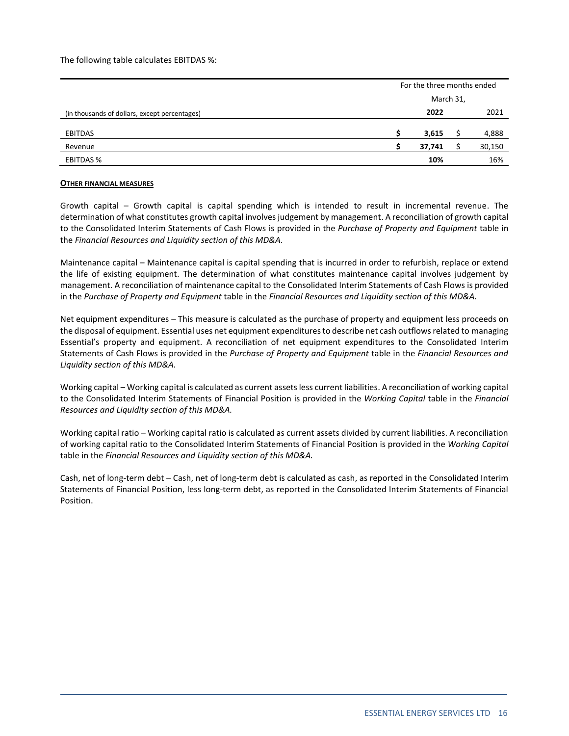The following table calculates EBITDAS %:

|                                               | For the three months ended |  |        |  |
|-----------------------------------------------|----------------------------|--|--------|--|
|                                               | March 31,                  |  |        |  |
| (in thousands of dollars, except percentages) | 2022                       |  | 2021   |  |
| <b>EBITDAS</b>                                | 3,615                      |  | 4,888  |  |
| Revenue                                       | 37,741                     |  | 30,150 |  |
| <b>EBITDAS %</b>                              | 10%                        |  | 16%    |  |

#### **OTHER FINANCIAL MEASURES**

Growth capital – Growth capital is capital spending which is intended to result in incremental revenue. The determination of what constitutes growth capital involves judgement by management. A reconciliation of growth capital to the Consolidated Interim Statements of Cash Flows is provided in the *Purchase of Property and Equipment* table in the *Financial Resources and Liquidity section of this MD&A.*

Maintenance capital – Maintenance capital is capital spending that is incurred in order to refurbish, replace or extend the life of existing equipment. The determination of what constitutes maintenance capital involves judgement by management. A reconciliation of maintenance capital to the Consolidated Interim Statements of Cash Flows is provided in the *Purchase of Property and Equipment* table in the *Financial Resources and Liquidity section of this MD&A.*

Net equipment expenditures – This measure is calculated as the purchase of property and equipment less proceeds on the disposal of equipment. Essential uses net equipment expenditures to describe net cash outflows related to managing Essential's property and equipment. A reconciliation of net equipment expenditures to the Consolidated Interim Statements of Cash Flows is provided in the *Purchase of Property and Equipment* table in the *Financial Resources and Liquidity section of this MD&A.*

Working capital – Working capital is calculated as current assets less current liabilities. A reconciliation of working capital to the Consolidated Interim Statements of Financial Position is provided in the *Working Capital* table in the *Financial Resources and Liquidity section of this MD&A.*

Working capital ratio – Working capital ratio is calculated as current assets divided by current liabilities. A reconciliation of working capital ratio to the Consolidated Interim Statements of Financial Position is provided in the *Working Capital* table in the *Financial Resources and Liquidity section of this MD&A.*

Cash, net of long-term debt – Cash, net of long-term debt is calculated as cash, as reported in the Consolidated Interim Statements of Financial Position, less long-term debt, as reported in the Consolidated Interim Statements of Financial Position.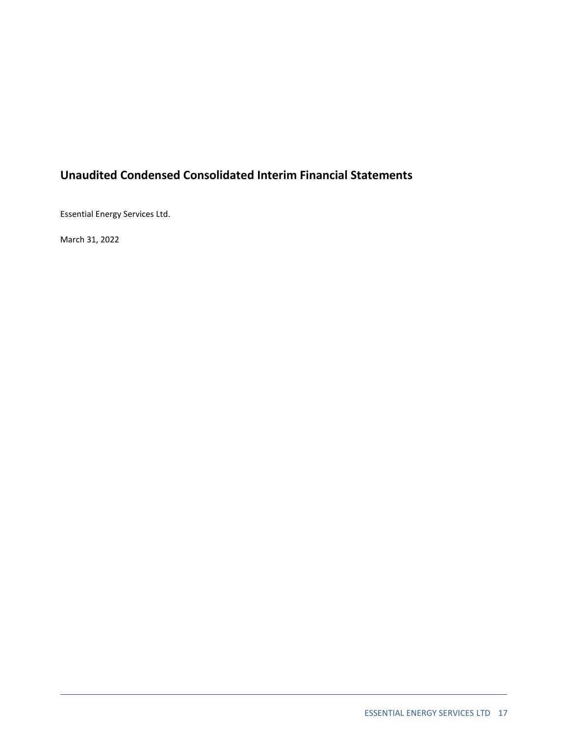# **Unaudited Condensed Consolidated Interim Financial Statements**

Essential Energy Services Ltd.

March 31, 2022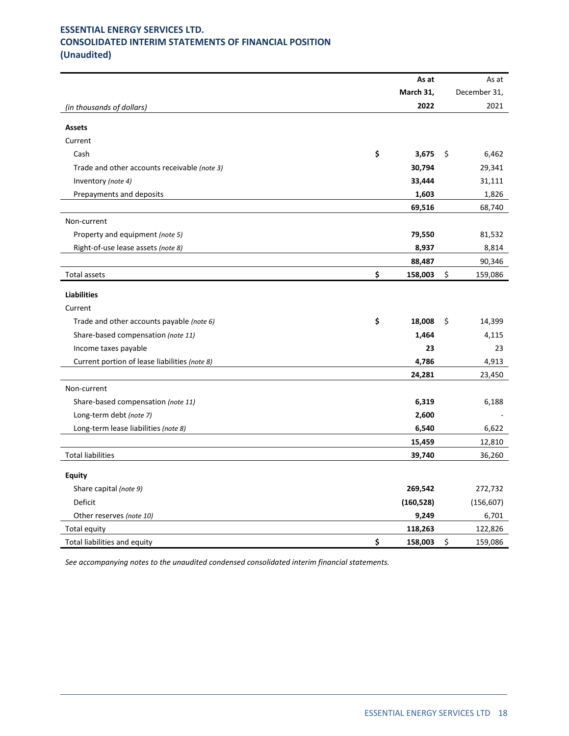## **ESSENTIAL ENERGY SERVICES LTD. CONSOLIDATED INTERIM STATEMENTS OF FINANCIAL POSITION (Unaudited)**

|                                               | As at         | As at         |
|-----------------------------------------------|---------------|---------------|
|                                               | March 31,     | December 31,  |
| (in thousands of dollars)                     | 2022          | 2021          |
| <b>Assets</b>                                 |               |               |
| Current                                       |               |               |
| Cash                                          | \$<br>3,675   | \$<br>6,462   |
| Trade and other accounts receivable (note 3)  | 30,794        | 29,341        |
| Inventory (note 4)                            | 33,444        | 31,111        |
| Prepayments and deposits                      | 1,603         | 1,826         |
|                                               | 69,516        | 68,740        |
| Non-current                                   |               |               |
| Property and equipment (note 5)               | 79,550        | 81,532        |
| Right-of-use lease assets (note 8)            | 8,937         | 8,814         |
|                                               | 88,487        | 90,346        |
| Total assets                                  | \$<br>158,003 | \$<br>159,086 |
| <b>Liabilities</b>                            |               |               |
| Current                                       |               |               |
| Trade and other accounts payable (note 6)     | \$<br>18,008  | \$<br>14,399  |
| Share-based compensation (note 11)            | 1,464         | 4,115         |
| Income taxes payable                          | 23            | 23            |
| Current portion of lease liabilities (note 8) | 4,786         | 4,913         |
|                                               | 24,281        | 23,450        |
| Non-current                                   |               |               |
| Share-based compensation (note 11)            | 6,319         | 6,188         |
| Long-term debt (note 7)                       | 2,600         |               |
| Long-term lease liabilities (note 8)          | 6,540         | 6,622         |
|                                               | 15,459        | 12,810        |
| <b>Total liabilities</b>                      | 39,740        | 36,260        |
| <b>Equity</b>                                 |               |               |
| Share capital (note 9)                        | 269,542       | 272,732       |
| Deficit                                       | (160, 528)    | (156, 607)    |
| Other reserves (note 10)                      | 9,249         | 6,701         |
| Total equity                                  | 118,263       | 122,826       |
| Total liabilities and equity                  | \$<br>158,003 | \$<br>159,086 |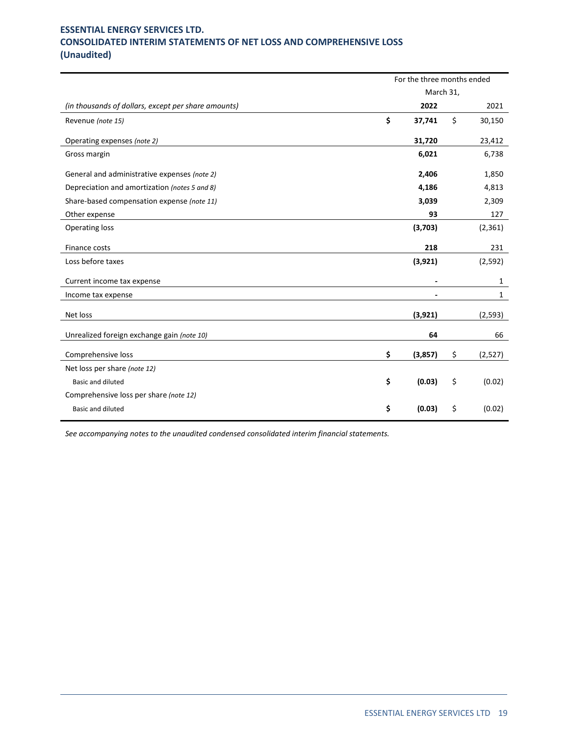## **ESSENTIAL ENERGY SERVICES LTD. CONSOLIDATED INTERIM STATEMENTS OF NET LOSS AND COMPREHENSIVE LOSS (Unaudited)**

|                                                     | For the three months ended |           |    |          |  |
|-----------------------------------------------------|----------------------------|-----------|----|----------|--|
|                                                     |                            | March 31, |    |          |  |
| (in thousands of dollars, except per share amounts) |                            | 2022      |    | 2021     |  |
| Revenue (note 15)                                   | \$                         | 37,741    | \$ | 30,150   |  |
| Operating expenses (note 2)                         |                            | 31,720    |    | 23,412   |  |
| Gross margin                                        |                            | 6,021     |    | 6,738    |  |
| General and administrative expenses (note 2)        |                            | 2,406     |    | 1,850    |  |
| Depreciation and amortization (notes 5 and 8)       |                            | 4,186     |    | 4,813    |  |
| Share-based compensation expense (note 11)          |                            | 3,039     |    | 2,309    |  |
| Other expense                                       |                            | 93        |    | 127      |  |
| <b>Operating loss</b>                               |                            | (3,703)   |    | (2, 361) |  |
| Finance costs                                       |                            | 218       |    | 231      |  |
| Loss before taxes                                   |                            | (3, 921)  |    | (2, 592) |  |
| Current income tax expense                          |                            |           |    | 1        |  |
| Income tax expense                                  |                            |           |    | 1        |  |
| Net loss                                            |                            | (3,921)   |    | (2,593)  |  |
| Unrealized foreign exchange gain (note 10)          |                            | 64        |    | 66       |  |
| Comprehensive loss                                  | \$                         | (3,857)   | \$ | (2,527)  |  |
| Net loss per share (note 12)                        |                            |           |    |          |  |
| Basic and diluted                                   | \$                         | (0.03)    | \$ | (0.02)   |  |
| Comprehensive loss per share (note 12)              |                            |           |    |          |  |
| <b>Basic and diluted</b>                            | \$                         | (0.03)    | \$ | (0.02)   |  |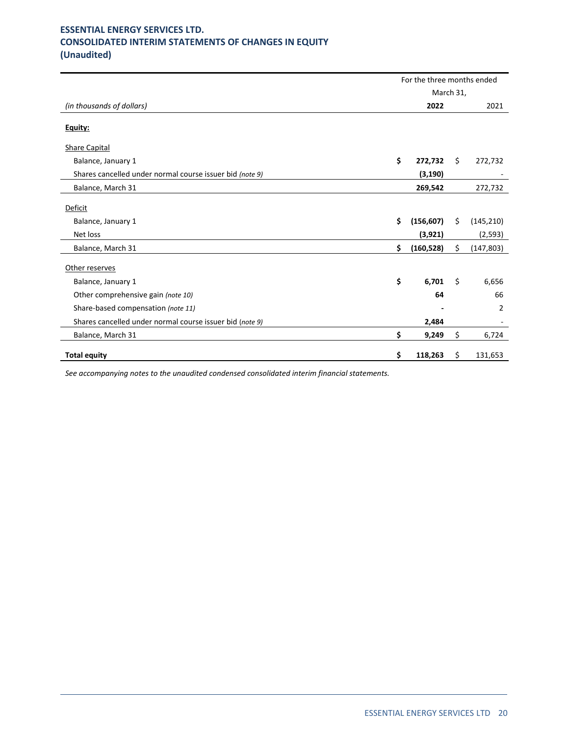## **ESSENTIAL ENERGY SERVICES LTD. CONSOLIDATED INTERIM STATEMENTS OF CHANGES IN EQUITY (Unaudited)**

|                                                          | For the three months ended |            |    |            |  |
|----------------------------------------------------------|----------------------------|------------|----|------------|--|
|                                                          |                            | March 31,  |    |            |  |
| (in thousands of dollars)                                |                            | 2022       |    | 2021       |  |
| Equity:                                                  |                            |            |    |            |  |
| <b>Share Capital</b>                                     |                            |            |    |            |  |
| Balance, January 1                                       | \$                         | 272,732    | \$ | 272,732    |  |
| Shares cancelled under normal course issuer bid (note 9) |                            | (3, 190)   |    |            |  |
| Balance, March 31                                        |                            | 269,542    |    | 272,732    |  |
| Deficit                                                  |                            |            |    |            |  |
| Balance, January 1                                       | \$                         | (156, 607) | Ś  | (145, 210) |  |
| Net loss                                                 |                            | (3,921)    |    | (2, 593)   |  |
| Balance, March 31                                        | \$                         | (160, 528) | \$ | (147, 803) |  |
| Other reserves                                           |                            |            |    |            |  |
| Balance, January 1                                       | \$                         | 6,701      | \$ | 6,656      |  |
| Other comprehensive gain (note 10)                       |                            | 64         |    | 66         |  |
| Share-based compensation (note 11)                       |                            |            |    | 2          |  |
| Shares cancelled under normal course issuer bid (note 9) |                            | 2,484      |    |            |  |
| Balance, March 31                                        | \$                         | 9,249      | \$ | 6,724      |  |
| <b>Total equity</b>                                      | \$                         | 118,263    | \$ | 131,653    |  |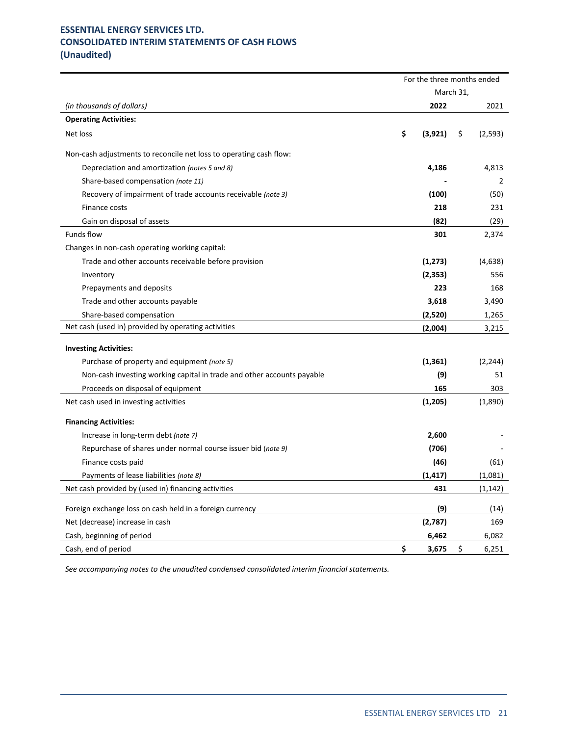## **ESSENTIAL ENERGY SERVICES LTD. CONSOLIDATED INTERIM STATEMENTS OF CASH FLOWS (Unaudited)**

|                                                                        | For the three months ended |          |    |                |
|------------------------------------------------------------------------|----------------------------|----------|----|----------------|
|                                                                        | March 31,                  |          |    |                |
| (in thousands of dollars)                                              |                            | 2022     |    | 2021           |
| <b>Operating Activities:</b>                                           |                            |          |    |                |
| Net loss                                                               | \$                         | (3,921)  | \$ | (2,593)        |
| Non-cash adjustments to reconcile net loss to operating cash flow:     |                            |          |    |                |
| Depreciation and amortization (notes 5 and 8)                          |                            | 4,186    |    | 4,813          |
| Share-based compensation (note 11)                                     |                            |          |    | $\overline{2}$ |
| Recovery of impairment of trade accounts receivable (note 3)           |                            | (100)    |    | (50)           |
| Finance costs                                                          |                            | 218      |    | 231            |
| Gain on disposal of assets                                             |                            | (82)     |    | (29)           |
| Funds flow                                                             |                            | 301      |    | 2,374          |
| Changes in non-cash operating working capital:                         |                            |          |    |                |
| Trade and other accounts receivable before provision                   |                            | (1, 273) |    | (4,638)        |
| Inventory                                                              |                            | (2, 353) |    | 556            |
| Prepayments and deposits                                               |                            | 223      |    | 168            |
| Trade and other accounts payable                                       |                            | 3,618    |    | 3,490          |
| Share-based compensation                                               |                            | (2,520)  |    | 1,265          |
| Net cash (used in) provided by operating activities                    |                            | (2,004)  |    | 3,215          |
| <b>Investing Activities:</b>                                           |                            |          |    |                |
| Purchase of property and equipment (note 5)                            |                            | (1, 361) |    | (2, 244)       |
| Non-cash investing working capital in trade and other accounts payable |                            | (9)      |    | 51             |
| Proceeds on disposal of equipment                                      |                            | 165      |    | 303            |
| Net cash used in investing activities                                  |                            | (1,205)  |    | (1,890)        |
| <b>Financing Activities:</b>                                           |                            |          |    |                |
| Increase in long-term debt (note 7)                                    |                            | 2,600    |    |                |
| Repurchase of shares under normal course issuer bid (note 9)           |                            | (706)    |    |                |
| Finance costs paid                                                     |                            | (46)     |    | (61)           |
| Payments of lease liabilities (note 8)                                 |                            | (1, 417) |    | (1,081)        |
| Net cash provided by (used in) financing activities                    |                            | 431      |    | (1, 142)       |
|                                                                        |                            |          |    |                |
| Foreign exchange loss on cash held in a foreign currency               |                            | (9)      |    | (14)           |
| Net (decrease) increase in cash                                        |                            | (2,787)  |    | 169            |
| Cash, beginning of period                                              |                            | 6,462    |    | 6,082          |
| Cash, end of period                                                    | \$                         | 3,675    | \$ | 6,251          |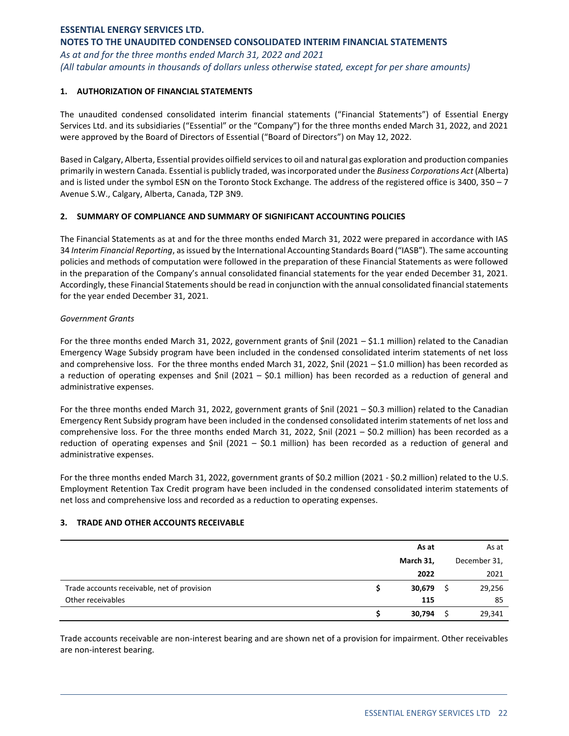*As at and for the three months ended March 31, 2022 and 2021 (All tabular amounts in thousands of dollars unless otherwise stated, except for per share amounts)*

## **1. AUTHORIZATION OF FINANCIAL STATEMENTS**

The unaudited condensed consolidated interim financial statements ("Financial Statements") of Essential Energy Services Ltd. and its subsidiaries ("Essential" or the "Company") for the three months ended March 31, 2022, and 2021 were approved by the Board of Directors of Essential ("Board of Directors") on May 12, 2022.

Based in Calgary, Alberta, Essential provides oilfield services to oil and natural gas exploration and production companies primarily in western Canada. Essential is publicly traded, was incorporated under the *Business Corporations Act* (Alberta) and is listed under the symbol ESN on the Toronto Stock Exchange. The address of the registered office is 3400, 350 – 7 Avenue S.W., Calgary, Alberta, Canada, T2P 3N9.

## **2. SUMMARY OF COMPLIANCE AND SUMMARY OF SIGNIFICANT ACCOUNTING POLICIES**

The Financial Statements as at and for the three months ended March 31, 2022 were prepared in accordance with IAS 34 *Interim Financial Reporting*, as issued by the International Accounting Standards Board ("IASB"). The same accounting policies and methods of computation were followed in the preparation of these Financial Statements as were followed in the preparation of the Company's annual consolidated financial statements for the year ended December 31, 2021. Accordingly, these Financial Statements should be read in conjunction with the annual consolidated financial statements for the year ended December 31, 2021.

#### *Government Grants*

For the three months ended March 31, 2022, government grants of \$nil (2021 – \$1.1 million) related to the Canadian Emergency Wage Subsidy program have been included in the condensed consolidated interim statements of net loss and comprehensive loss. For the three months ended March 31, 2022, \$nil (2021 – \$1.0 million) has been recorded as a reduction of operating expenses and \$nil (2021 – \$0.1 million) has been recorded as a reduction of general and administrative expenses.

For the three months ended March 31, 2022, government grants of \$nil (2021 – \$0.3 million) related to the Canadian Emergency Rent Subsidy program have been included in the condensed consolidated interim statements of net loss and comprehensive loss. For the three months ended March 31, 2022, \$nil (2021 – \$0.2 million) has been recorded as a reduction of operating expenses and \$nil (2021 – \$0.1 million) has been recorded as a reduction of general and administrative expenses.

For the three months ended March 31, 2022, government grants of \$0.2 million (2021 - \$0.2 million) related to the U.S. Employment Retention Tax Credit program have been included in the condensed consolidated interim statements of net loss and comprehensive loss and recorded as a reduction to operating expenses.

## **3. TRADE AND OTHER ACCOUNTS RECEIVABLE**

|                                             | As at     | As at        |
|---------------------------------------------|-----------|--------------|
|                                             | March 31, | December 31, |
|                                             | 2022      | 2021         |
| Trade accounts receivable, net of provision | 30,679    | 29,256       |
| Other receivables                           | 115       | 85           |
|                                             | 30,794    | 29,341       |

Trade accounts receivable are non-interest bearing and are shown net of a provision for impairment. Other receivables are non-interest bearing.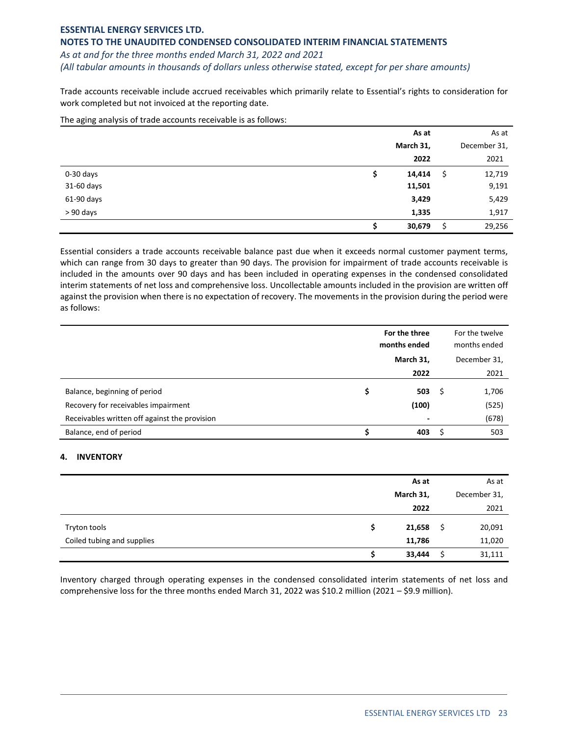*(All tabular amounts in thousands of dollars unless otherwise stated, except for per share amounts)*

Trade accounts receivable include accrued receivables which primarily relate to Essential's rights to consideration for work completed but not invoiced at the reporting date.

The aging analysis of trade accounts receivable is as follows:

|             |    | As at     | As at        |
|-------------|----|-----------|--------------|
|             |    | March 31, | December 31, |
|             |    | 2022      | 2021         |
| $0-30$ days | \$ | 14,414    | \$<br>12,719 |
| 31-60 days  |    | 11,501    | 9,191        |
| 61-90 days  |    | 3,429     | 5,429        |
| > 90 days   |    | 1,335     | 1,917        |
|             | Ş  | 30,679    | \$<br>29,256 |

Essential considers a trade accounts receivable balance past due when it exceeds normal customer payment terms, which can range from 30 days to greater than 90 days. The provision for impairment of trade accounts receivable is included in the amounts over 90 days and has been included in operating expenses in the condensed consolidated interim statements of net loss and comprehensive loss. Uncollectable amounts included in the provision are written off against the provision when there is no expectation of recovery. The movements in the provision during the period were as follows:

|                                               |   | For the three<br>months ended |    | For the twelve<br>months ended |
|-----------------------------------------------|---|-------------------------------|----|--------------------------------|
|                                               |   | March 31,                     |    | December 31,                   |
|                                               |   | 2022                          |    | 2021                           |
| Balance, beginning of period                  | S | 503                           | -S | 1,706                          |
| Recovery for receivables impairment           |   | (100)                         |    | (525)                          |
| Receivables written off against the provision |   | $\overline{\phantom{0}}$      |    | (678)                          |
| Balance, end of period                        |   | 403                           | S  | 503                            |

#### **4. INVENTORY**

|                            | As at     |      | As at        |
|----------------------------|-----------|------|--------------|
|                            | March 31, |      | December 31, |
|                            | 2022      |      | 2021         |
| Tryton tools               | 21,658    | - \$ | 20,091       |
| Coiled tubing and supplies | 11,786    |      | 11,020       |
|                            | 33,444    |      | 31,111       |

Inventory charged through operating expenses in the condensed consolidated interim statements of net loss and comprehensive loss for the three months ended March 31, 2022 was \$10.2 million (2021 – \$9.9 million).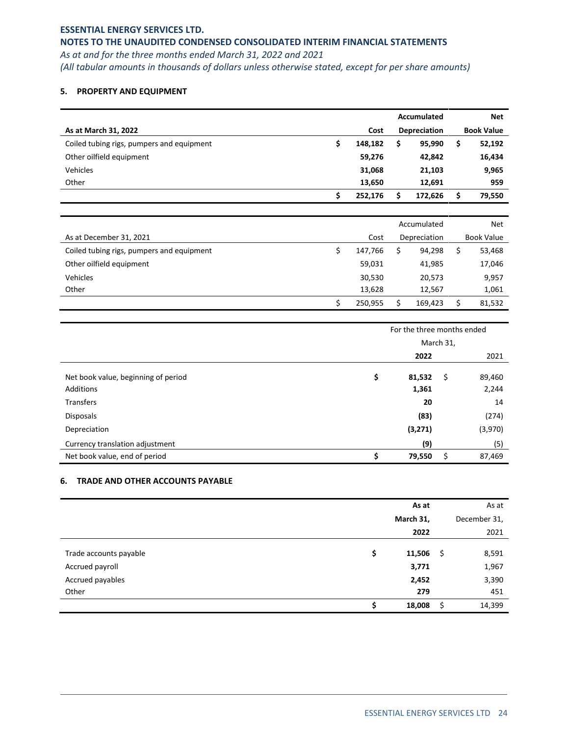*(All tabular amounts in thousands of dollars unless otherwise stated, except for per share amounts)*

## **5. PROPERTY AND EQUIPMENT**

|                                           |    |         | Accumulated         |         |                   | <b>Net</b> |
|-------------------------------------------|----|---------|---------------------|---------|-------------------|------------|
| As at March 31, 2022                      |    | Cost    | <b>Depreciation</b> |         | <b>Book Value</b> |            |
| Coiled tubing rigs, pumpers and equipment | \$ | 148,182 | \$                  | 95,990  | S                 | 52,192     |
| Other oilfield equipment                  |    | 59,276  |                     | 42,842  |                   | 16,434     |
| <b>Vehicles</b>                           |    | 31,068  |                     | 21,103  |                   | 9,965      |
| Other                                     |    | 13,650  |                     | 12,691  |                   | 959        |
|                                           | S  | 252,176 | S                   | 172,626 | \$.               | 79,550     |
|                                           |    |         |                     |         |                   |            |

|                                           |         | Accumulated  |         | <b>Net</b> |  |  |  |                   |
|-------------------------------------------|---------|--------------|---------|------------|--|--|--|-------------------|
| As at December 31, 2021                   | Cost    | Depreciation |         |            |  |  |  | <b>Book Value</b> |
| Coiled tubing rigs, pumpers and equipment | 147,766 |              | 94,298  | 53,468     |  |  |  |                   |
| Other oilfield equipment                  | 59,031  |              | 41,985  | 17,046     |  |  |  |                   |
| <b>Vehicles</b>                           | 30,530  |              | 20,573  | 9,957      |  |  |  |                   |
| Other                                     | 13,628  |              | 12,567  | 1,061      |  |  |  |                   |
|                                           | 250,955 |              | 169,423 | 81,532     |  |  |  |                   |

|                                     | For the three months ended |           |         |  |
|-------------------------------------|----------------------------|-----------|---------|--|
|                                     |                            | March 31, |         |  |
|                                     | 2022                       |           | 2021    |  |
| Net book value, beginning of period | \$<br>81,532               | \$        | 89,460  |  |
| Additions                           | 1,361                      |           | 2,244   |  |
| Transfers                           | 20                         |           | 14      |  |
| <b>Disposals</b>                    | (83)                       |           | (274)   |  |
| Depreciation                        | (3, 271)                   |           | (3,970) |  |
| Currency translation adjustment     | (9)                        |           | (5)     |  |
| Net book value, end of period       | \$<br>79,550               | \$        | 87,469  |  |

## **6. TRADE AND OTHER ACCOUNTS PAYABLE**

|                        | As at        |     | As at        |
|------------------------|--------------|-----|--------------|
|                        | March 31,    |     | December 31, |
|                        | 2022         |     | 2021         |
|                        |              |     |              |
| Trade accounts payable | \$<br>11,506 | -\$ | 8,591        |
| Accrued payroll        | 3,771        |     | 1,967        |
| Accrued payables       | 2,452        |     | 3,390        |
| Other                  | 279          |     | 451          |
|                        | \$<br>18,008 | \$  | 14,399       |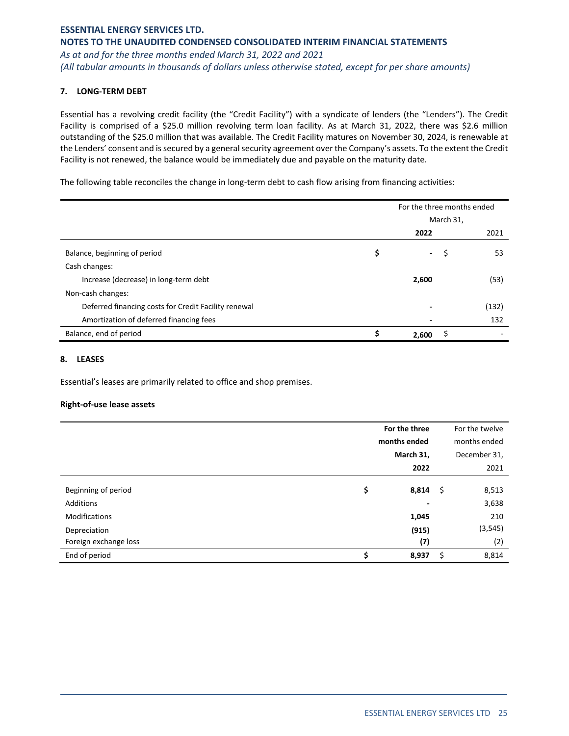*(All tabular amounts in thousands of dollars unless otherwise stated, except for per share amounts)*

## **7. LONG-TERM DEBT**

Essential has a revolving credit facility (the "Credit Facility") with a syndicate of lenders (the "Lenders"). The Credit Facility is comprised of a \$25.0 million revolving term loan facility. As at March 31, 2022, there was \$2.6 million outstanding of the \$25.0 million that was available. The Credit Facility matures on November 30, 2024, is renewable at the Lenders' consent and is secured by a general security agreement over the Company's assets. To the extent the Credit Facility is not renewed, the balance would be immediately due and payable on the maturity date.

The following table reconciles the change in long-term debt to cash flow arising from financing activities:

|                                                      |    | For the three months ended |  |       |  |
|------------------------------------------------------|----|----------------------------|--|-------|--|
|                                                      |    | March 31,                  |  |       |  |
|                                                      |    | 2022                       |  | 2021  |  |
| Balance, beginning of period                         | \$ |                            |  | 53    |  |
| Cash changes:                                        |    |                            |  |       |  |
| Increase (decrease) in long-term debt                |    | 2,600                      |  | (53)  |  |
| Non-cash changes:                                    |    |                            |  |       |  |
| Deferred financing costs for Credit Facility renewal |    |                            |  | (132) |  |
| Amortization of deferred financing fees              |    |                            |  | 132   |  |
| Balance, end of period                               | Ś  | 2,600                      |  |       |  |

## **8. LEASES**

Essential's leases are primarily related to office and shop premises.

#### **Right-of-use lease assets**

|                       |    | For the three            |     | For the twelve |
|-----------------------|----|--------------------------|-----|----------------|
|                       |    | months ended             |     | months ended   |
|                       |    | March 31,                |     | December 31,   |
|                       |    | 2022                     |     | 2021           |
| Beginning of period   | \$ | 8,814                    | -\$ | 8,513          |
| <b>Additions</b>      |    | $\overline{\phantom{a}}$ |     | 3,638          |
| <b>Modifications</b>  |    | 1,045                    |     | 210            |
| Depreciation          |    | (915)                    |     | (3, 545)       |
| Foreign exchange loss |    | (7)                      |     | (2)            |
| End of period         | Ś  | 8,937                    | Ŝ.  | 8,814          |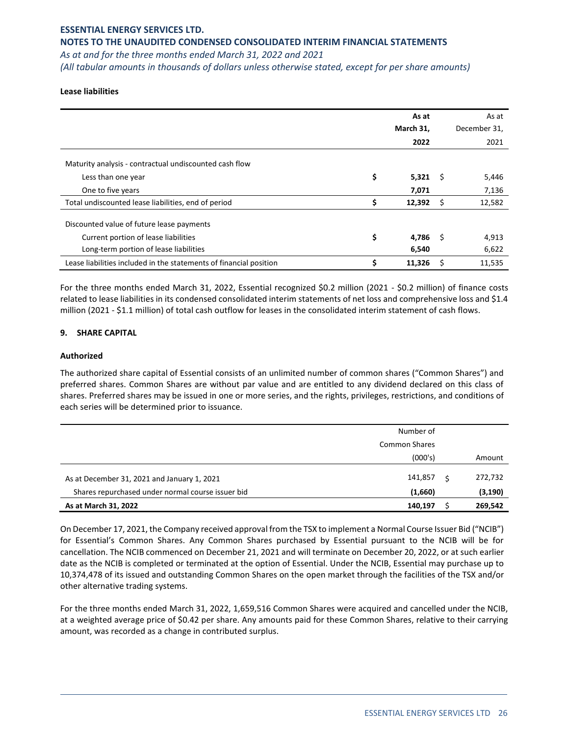*As at and for the three months ended March 31, 2022 and 2021* 

*(All tabular amounts in thousands of dollars unless otherwise stated, except for per share amounts)*

### **Lease liabilities**

|                                                                    | As at        |     | As at        |
|--------------------------------------------------------------------|--------------|-----|--------------|
|                                                                    | March 31,    |     | December 31, |
|                                                                    | 2022         |     | 2021         |
| Maturity analysis - contractual undiscounted cash flow             |              |     |              |
| Less than one year                                                 | \$<br>5,321  | -S  | 5,446        |
| One to five years                                                  | 7,071        |     | 7,136        |
| Total undiscounted lease liabilities, end of period                | \$<br>12,392 | S   | 12,582       |
| Discounted value of future lease payments                          |              |     |              |
| Current portion of lease liabilities                               | \$<br>4.786  | - S | 4,913        |
| Long-term portion of lease liabilities                             | 6,540        |     | 6,622        |
| Lease liabilities included in the statements of financial position | \$<br>11,326 | S   | 11,535       |

For the three months ended March 31, 2022, Essential recognized \$0.2 million (2021 - \$0.2 million) of finance costs related to lease liabilities in its condensed consolidated interim statements of net loss and comprehensive loss and \$1.4 million (2021 - \$1.1 million) of total cash outflow for leases in the consolidated interim statement of cash flows.

## **9. SHARE CAPITAL**

## **Authorized**

The authorized share capital of Essential consists of an unlimited number of common shares ("Common Shares") and preferred shares. Common Shares are without par value and are entitled to any dividend declared on this class of shares. Preferred shares may be issued in one or more series, and the rights, privileges, restrictions, and conditions of each series will be determined prior to issuance.

| Number of                                                    |   |          |
|--------------------------------------------------------------|---|----------|
| <b>Common Shares</b>                                         |   |          |
| (000's)                                                      |   | Amount   |
| 141,857<br>As at December 31, 2021 and January 1, 2021       | ¢ | 272,732  |
| Shares repurchased under normal course issuer bid<br>(1,660) |   | (3, 190) |
| As at March 31, 2022<br>140,197                              |   | 269,542  |

On December 17, 2021, the Company received approval from the TSX to implement a Normal Course Issuer Bid ("NCIB") for Essential's Common Shares. Any Common Shares purchased by Essential pursuant to the NCIB will be for cancellation. The NCIB commenced on December 21, 2021 and will terminate on December 20, 2022, or at such earlier date as the NCIB is completed or terminated at the option of Essential. Under the NCIB, Essential may purchase up to 10,374,478 of its issued and outstanding Common Shares on the open market through the facilities of the TSX and/or other alternative trading systems.

For the three months ended March 31, 2022, 1,659,516 Common Shares were acquired and cancelled under the NCIB, at a weighted average price of \$0.42 per share. Any amounts paid for these Common Shares, relative to their carrying amount, was recorded as a change in contributed surplus.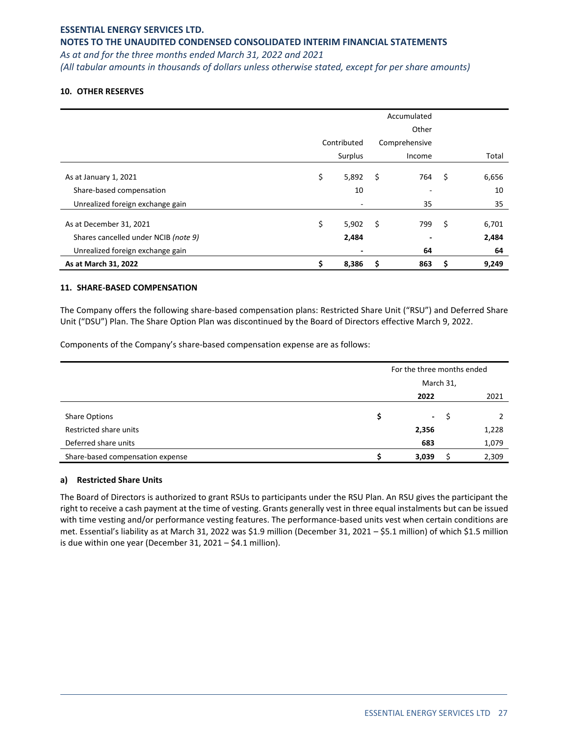*As at and for the three months ended March 31, 2022 and 2021 (All tabular amounts in thousands of dollars unless otherwise stated, except for per share amounts)*

## **10. OTHER RESERVES**

| Accumulated                          |       |             |      |               |    |       |
|--------------------------------------|-------|-------------|------|---------------|----|-------|
|                                      | Other |             |      |               |    |       |
|                                      |       | Contributed |      | Comprehensive |    |       |
|                                      |       | Surplus     |      | Income        |    | Total |
| As at January 1, 2021                | \$    | 5,892       | - \$ | 764           | \$ | 6,656 |
| Share-based compensation             |       | 10          |      |               |    | 10    |
| Unrealized foreign exchange gain     |       | ۰           |      | 35            |    | 35    |
| As at December 31, 2021              | \$    | 5,902       | \$.  | 799           | \$ | 6,701 |
| Shares cancelled under NCIB (note 9) |       | 2,484       |      |               |    | 2,484 |
| Unrealized foreign exchange gain     |       |             |      | 64            |    | 64    |
| As at March 31, 2022                 |       | 8,386       | S    | 863           | \$ | 9,249 |

## **11. SHARE-BASED COMPENSATION**

The Company offers the following share-based compensation plans: Restricted Share Unit ("RSU") and Deferred Share Unit ("DSU") Plan. The Share Option Plan was discontinued by the Board of Directors effective March 9, 2022.

Components of the Company's share-based compensation expense are as follows:

|                                  | For the three months ended |   |       |  |
|----------------------------------|----------------------------|---|-------|--|
|                                  | March 31,                  |   |       |  |
|                                  | 2022                       |   | 2021  |  |
| <b>Share Options</b>             | $\sim$                     | S |       |  |
| Restricted share units           | 2,356                      |   | 1,228 |  |
| Deferred share units             | 683                        |   | 1,079 |  |
| Share-based compensation expense | 3,039                      |   | 2,309 |  |

#### **a) Restricted Share Units**

The Board of Directors is authorized to grant RSUs to participants under the RSU Plan. An RSU gives the participant the right to receive a cash payment at the time of vesting. Grants generally vest in three equal instalments but can be issued with time vesting and/or performance vesting features. The performance-based units vest when certain conditions are met. Essential's liability as at March 31, 2022 was \$1.9 million (December 31, 2021 – \$5.1 million) of which \$1.5 million is due within one year (December 31, 2021 – \$4.1 million).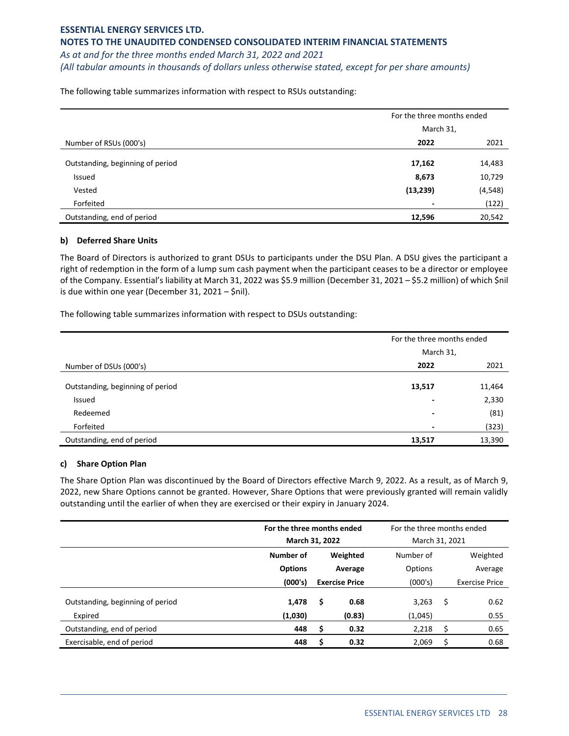*As at and for the three months ended March 31, 2022 and 2021* 

*(All tabular amounts in thousands of dollars unless otherwise stated, except for per share amounts)*

The following table summarizes information with respect to RSUs outstanding:

|                                  | For the three months ended |          |  |  |  |  |  |
|----------------------------------|----------------------------|----------|--|--|--|--|--|
|                                  | March 31,                  |          |  |  |  |  |  |
| Number of RSUs (000's)           | 2022                       | 2021     |  |  |  |  |  |
| Outstanding, beginning of period | 17,162                     | 14,483   |  |  |  |  |  |
| Issued                           | 8,673                      | 10,729   |  |  |  |  |  |
| Vested                           | (13, 239)                  | (4, 548) |  |  |  |  |  |
| Forfeited                        |                            | (122)    |  |  |  |  |  |
| Outstanding, end of period       | 12,596                     | 20,542   |  |  |  |  |  |

#### **b) Deferred Share Units**

The Board of Directors is authorized to grant DSUs to participants under the DSU Plan. A DSU gives the participant a right of redemption in the form of a lump sum cash payment when the participant ceases to be a director or employee of the Company. Essential's liability at March 31, 2022 was \$5.9 million (December 31, 2021 – \$5.2 million) of which \$nil is due within one year (December 31, 2021 – \$nil).

The following table summarizes information with respect to DSUs outstanding:

|                                  | For the three months ended<br>March 31, |        |  |
|----------------------------------|-----------------------------------------|--------|--|
|                                  |                                         |        |  |
| Number of DSUs (000's)           | 2022                                    | 2021   |  |
|                                  |                                         |        |  |
| Outstanding, beginning of period | 13,517                                  | 11,464 |  |
| Issued                           |                                         | 2,330  |  |
| Redeemed                         | $\overline{\phantom{0}}$                | (81)   |  |
| Forfeited                        |                                         | (323)  |  |
| Outstanding, end of period       | 13,517                                  | 13,390 |  |

#### **c) Share Option Plan**

The Share Option Plan was discontinued by the Board of Directors effective March 9, 2022. As a result, as of March 9, 2022, new Share Options cannot be granted. However, Share Options that were previously granted will remain validly outstanding until the earlier of when they are exercised or their expiry in January 2024.

|                                             | For the three months ended<br>March 31, 2022 |                       |                | For the three months ended<br>March 31, 2021 |    |                       |  |
|---------------------------------------------|----------------------------------------------|-----------------------|----------------|----------------------------------------------|----|-----------------------|--|
|                                             | Number of                                    |                       | Weighted       | Number of                                    |    | Weighted              |  |
|                                             | <b>Options</b>                               |                       | Average        | Options                                      |    | Average               |  |
|                                             | (000's)                                      | <b>Exercise Price</b> |                | (000's)                                      |    | <b>Exercise Price</b> |  |
| Outstanding, beginning of period<br>Expired | 1,478<br>(1,030)                             | S                     | 0.68<br>(0.83) | 3,263<br>(1,045)                             | \$ | 0.62<br>0.55          |  |
| Outstanding, end of period                  | 448                                          | S                     | 0.32           | 2,218                                        |    | 0.65                  |  |
| Exercisable, end of period                  | 448                                          | Ŝ                     | 0.32           | 2,069                                        | Ś  | 0.68                  |  |
|                                             |                                              |                       |                |                                              |    |                       |  |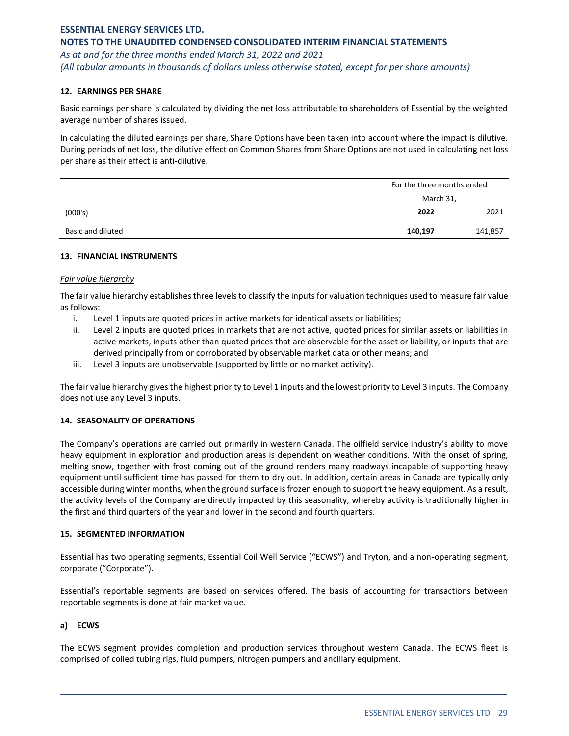*As at and for the three months ended March 31, 2022 and 2021 (All tabular amounts in thousands of dollars unless otherwise stated, except for per share amounts)*

## **12. EARNINGS PER SHARE**

Basic earnings per share is calculated by dividing the net loss attributable to shareholders of Essential by the weighted average number of shares issued.

In calculating the diluted earnings per share, Share Options have been taken into account where the impact is dilutive. During periods of net loss, the dilutive effect on Common Shares from Share Options are not used in calculating net loss per share as their effect is anti-dilutive.

|                   |         | For the three months ended |  |  |
|-------------------|---------|----------------------------|--|--|
|                   |         | March 31,                  |  |  |
| (000's)           | 2022    | 2021                       |  |  |
| Basic and diluted | 140,197 | 141,857                    |  |  |

## **13. FINANCIAL INSTRUMENTS**

#### *Fair value hierarchy*

The fair value hierarchy establishes three levels to classify the inputs for valuation techniques used to measure fair value as follows:

- i. Level 1 inputs are quoted prices in active markets for identical assets or liabilities;
- ii. Level 2 inputs are quoted prices in markets that are not active, quoted prices for similar assets or liabilities in active markets, inputs other than quoted prices that are observable for the asset or liability, or inputs that are derived principally from or corroborated by observable market data or other means; and
- iii. Level 3 inputs are unobservable (supported by little or no market activity).

The fair value hierarchy gives the highest priority to Level 1 inputs and the lowest priority to Level 3 inputs. The Company does not use any Level 3 inputs.

## **14. SEASONALITY OF OPERATIONS**

The Company's operations are carried out primarily in western Canada. The oilfield service industry's ability to move heavy equipment in exploration and production areas is dependent on weather conditions. With the onset of spring, melting snow, together with frost coming out of the ground renders many roadways incapable of supporting heavy equipment until sufficient time has passed for them to dry out. In addition, certain areas in Canada are typically only accessible during winter months, when the ground surface is frozen enough to support the heavy equipment. As a result, the activity levels of the Company are directly impacted by this seasonality, whereby activity is traditionally higher in the first and third quarters of the year and lower in the second and fourth quarters.

## **15. SEGMENTED INFORMATION**

Essential has two operating segments, Essential Coil Well Service ("ECWS") and Tryton, and a non-operating segment, corporate ("Corporate").

Essential's reportable segments are based on services offered. The basis of accounting for transactions between reportable segments is done at fair market value.

## **a) ECWS**

The ECWS segment provides completion and production services throughout western Canada. The ECWS fleet is comprised of coiled tubing rigs, fluid pumpers, nitrogen pumpers and ancillary equipment.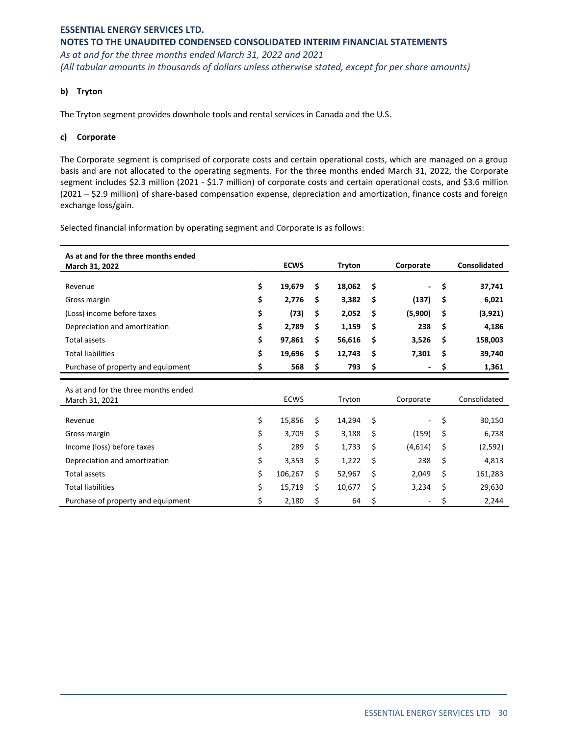*(All tabular amounts in thousands of dollars unless otherwise stated, except for per share amounts)*

## **b) Tryton**

The Tryton segment provides downhole tools and rental services in Canada and the U.S.

## **c) Corporate**

The Corporate segment is comprised of corporate costs and certain operational costs, which are managed on a group basis and are not allocated to the operating segments. For the three months ended March 31, 2022, the Corporate segment includes \$2.3 million (2021 - \$1.7 million) of corporate costs and certain operational costs, and \$3.6 million (2021 – \$2.9 million) of share-based compensation expense, depreciation and amortization, finance costs and foreign exchange loss/gain.

Selected financial information by operating segment and Corporate is as follows:

| As at and for the three months ended<br>March 31, 2022 | <b>ECWS</b>  |     | <b>Tryton</b> |     | Corporate       |      | <b>Consolidated</b> |
|--------------------------------------------------------|--------------|-----|---------------|-----|-----------------|------|---------------------|
| Revenue                                                | \$<br>19,679 | \$. | 18,062        | .\$ | $\sim 10^{-11}$ | \$   | 37,741              |
| Gross margin                                           | \$<br>2,776  | \$. | 3,382         | \$. | (137)           | \$   | 6,021               |
| (Loss) income before taxes                             | \$<br>(73)   | \$  | 2,052         | \$. | (5,900)         | \$   | (3,921)             |
| Depreciation and amortization                          | \$<br>2,789  | -S  | 1,159         | \$  | 238             | - \$ | 4,186               |
| Total assets                                           | \$<br>97,861 | \$  | 56,616        | \$. | 3,526           | - \$ | 158,003             |
| <b>Total liabilities</b>                               | \$<br>19,696 | S   | 12,743        | \$  | 7,301           | \$.  | 39,740              |
| Purchase of property and equipment                     | 568          | S   | 793           | \$  | ٠               | \$   | 1,361               |
| As at and for the three months ended                   |              |     |               |     |                 |      |                     |

| As at and for the three months ended |               |    |        |    |           |    |              |
|--------------------------------------|---------------|----|--------|----|-----------|----|--------------|
| March 31, 2021                       | <b>ECWS</b>   |    | Tryton |    | Corporate |    | Consolidated |
|                                      |               |    |        |    |           |    |              |
| Revenue                              | \$<br>15,856  |    | 14,294 | -S | $\sim$    | \$ | 30,150       |
| Gross margin                         | \$<br>3,709   | \$ | 3,188  | -S | (159)     | S  | 6,738        |
| Income (loss) before taxes           | 289           | \$ | 1,733  |    | (4,614)   | \$ | (2, 592)     |
| Depreciation and amortization        | 3,353         |    | 1,222  | -S | 238       | S  | 4,813        |
| Total assets                         | \$<br>106,267 | Ś  | 52,967 | Ŝ. | 2,049     | \$ | 161,283      |
| <b>Total liabilities</b>             | \$<br>15,719  | S  | 10,677 | S  | 3,234     | \$ | 29,630       |
| Purchase of property and equipment   | 2,180         |    | 64     |    | $\sim$    |    | 2,244        |